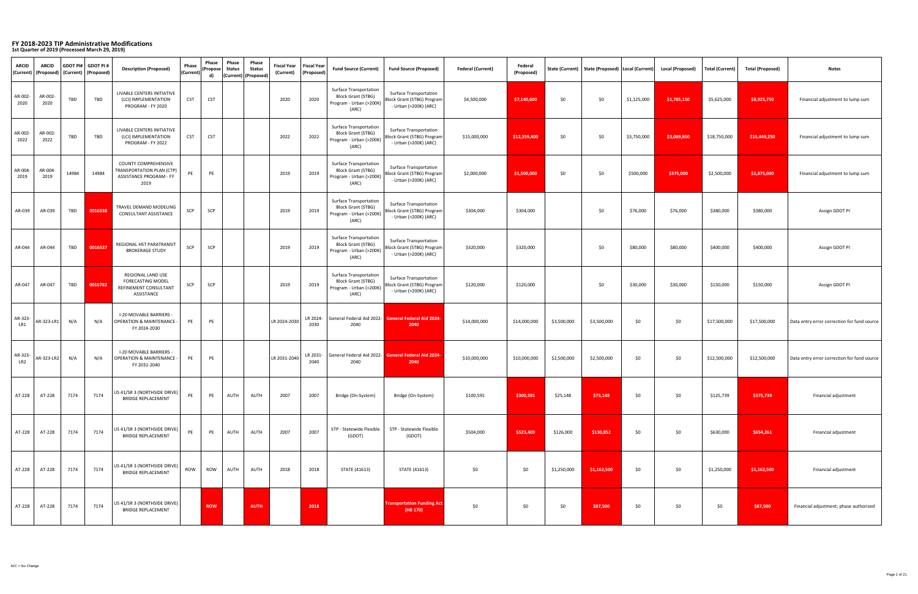| <b>ARCID</b>               | <b>ARCID</b><br>  (Current)   (Proposed) | (Current)  | GDOT PI# $\vert$ GDOT PI #<br>(Proposed) | <b>Description (Proposed)</b>                                                                             | <b>Phase</b><br>(Current) | <b>Phase</b><br>(Propose<br>d) | <b>Phase</b><br><b>Status</b> | <b>Phase</b><br><b>Status</b><br>(Current)   (Proposed) | <b>Fiscal Year</b><br>(Current) | <b>Fiscal Year</b><br>(Proposed) | <b>Fund Source (Current)</b>                                                                   | <b>Fund Source (Proposed)</b>                                                               | <b>Federal (Current)</b> | <b>Federal</b><br>(Proposed) |             | State (Current)   State (Proposed)   Local (Current) |             | <b>Local (Proposed)</b> | Total (Current) | <b>Total (Proposed)</b> | <b>Notes</b>                                |
|----------------------------|------------------------------------------|------------|------------------------------------------|-----------------------------------------------------------------------------------------------------------|---------------------------|--------------------------------|-------------------------------|---------------------------------------------------------|---------------------------------|----------------------------------|------------------------------------------------------------------------------------------------|---------------------------------------------------------------------------------------------|--------------------------|------------------------------|-------------|------------------------------------------------------|-------------|-------------------------|-----------------|-------------------------|---------------------------------------------|
| AR-002-<br>2020            | AR-002-<br>2020                          | TBD        | <b>TBD</b>                               | LIVABLE CENTERS INITIATIVE<br>(LCI) IMPLEMENTATION<br>PROGRAM - FY 2020                                   | <b>CST</b>                | <b>CST</b>                     |                               |                                                         | 2020                            | 2020                             | <b>Surface Transportation</b><br><b>Block Grant (STBG)</b><br>Program - Urban (>200K)<br>(ARC) | <b>Surface Transportation</b><br><b>Block Grant (STBG) Program</b><br>- Urban (>200K) (ARC) | \$4,500,000              | \$7,140,600                  | \$0\$       | \$0                                                  | \$1,125,000 | \$1,785,150             | \$5,625,000     | \$8,925,750             | Financial adjustment to lump sum            |
| AR-002-<br>2022            | AR-002-<br>2022                          | <b>TBD</b> | <b>TBD</b>                               | LIVABLE CENTERS INITIATIVE<br>(LCI) IMPLEMENTATION<br>PROGRAM - FY 2022                                   | <b>CST</b>                | <b>CST</b>                     |                               |                                                         | 2022                            | 2022                             | <b>Surface Transportation</b><br><b>Block Grant (STBG)</b><br>Program - Urban (>200K)<br>(ARC) | <b>Surface Transportation</b><br><b>Block Grant (STBG) Program</b><br>- Urban (>200K) (ARC) | \$15,000,000             | \$12,359,400                 | \$0         | \$0                                                  | \$3,750,000 | \$3,089,850             | \$18,750,000    | \$15,449,250            | Financial adjustment to lump sum            |
| AR-004-<br>2019            | AR-004-<br>2019                          | 14984      | 14984                                    | <b>COUNTY COMPREHENSIVE</b><br><b>TRANSPORTATION PLAN (CTP)</b><br><b>ASSISTANCE PROGRAM - FY</b><br>2019 | PE                        | PE                             |                               |                                                         | 2019                            | 2019                             | <b>Surface Transportation</b><br><b>Block Grant (STBG)</b><br>Program - Urban (>200K)<br>(ARC) | <b>Surface Transportation</b><br><b>Block Grant (STBG) Program</b><br>- Urban (>200K) (ARC) | \$2,000,000              | \$1,500,000                  | \$0         | \$0                                                  | \$500,000   | \$375,000               | \$2,500,000     | \$1,875,000             | Financial adjustment to lump sum            |
| AR-039                     | AR-039                                   | TBD        | 0016538                                  | TRAVEL DEMAND MODELING<br>CONSULTANT ASSISTANCE                                                           | SCP                       | SCP                            |                               |                                                         | 2019                            | 2019                             | <b>Surface Transportation</b><br><b>Block Grant (STBG)</b><br>Program - Urban (>200K)<br>(ARC) | <b>Surface Transportation</b><br>Block Grant (STBG) Program<br>- Urban (>200K) (ARC)        | \$304,000                | \$304,000                    |             | \$0                                                  | \$76,000    | \$76,000                | \$380,000       | \$380,000               | Assign GDOT PI                              |
| AR-044                     | AR-044                                   | TBD        | 0016537                                  | REGIONAL HST PARATRANSIT<br><b>BROKERAGE STUDY</b>                                                        | SCP                       | SCP                            |                               |                                                         | 2019                            | 2019                             | <b>Surface Transportation</b><br><b>Block Grant (STBG)</b><br>Program - Urban (>200K)<br>(ARC) | <b>Surface Transportation</b><br>Block Grant (STBG) Program<br>- Urban (>200K) (ARC)        | \$320,000                | \$320,000                    |             | \$0                                                  | \$80,000    | \$80,000                | \$400,000       | \$400,000               | Assign GDOT PI                              |
| AR-047                     | AR-047                                   | <b>TBD</b> | 0016782                                  | REGIONAL LAND USE<br><b>FORECASTING MODEL</b><br>REFINEMENT CONSULTANT<br>ASSISTANCE                      | <b>SCP</b>                | SCP                            |                               |                                                         | 2019                            | 2019                             | <b>Surface Transportation</b><br><b>Block Grant (STBG)</b><br>Program - Urban (>200K)<br>(ARC) | <b>Surface Transportation</b><br><b>Block Grant (STBG) Program</b><br>- Urban (>200K) (ARC) | \$120,000                | \$120,000                    |             | \$0                                                  | \$30,000    | \$30,000                | \$150,000       | \$150,000               | Assign GDOT PI                              |
| AR-323-<br>LR1             | AR-323-LR1                               | N/A        | N/A                                      | <b>I-20 MOVABLE BARRIERS -</b><br><b>OPERATION &amp; MAINTENANCE -</b><br>FY 2024-2030                    | PE                        | PE                             |                               |                                                         | LR 2024-2030                    | 2030                             | 2040                                                                                           | LR 2024- General Federal Aid 2022- General Federal Aid 2024-<br>2040                        | \$14,000,000             | \$14,000,000                 | \$3,500,000 | \$3,500,000                                          | \$0         | \$0\$                   | \$17,500,000    | \$17,500,000            | Data entry error correction for fund source |
| AR-323-<br>LR <sub>2</sub> | AR-323-LR2                               | N/A        | N/A                                      | <b>I-20 MOVABLE BARRIERS -</b><br><b>OPERATION &amp; MAINTENANCE -</b><br>FY 2031-2040                    | <b>DE</b>                 | PE                             |                               |                                                         | LR 2031-2040                    | LR 2031-<br>2040                 | 2040                                                                                           | General Federal Aid 2022- General Federal Aid 2024-<br>2040                                 | \$10,000,000             | \$10,000,000                 | \$2,500,000 | \$2,500,000                                          | \$0         | \$0\$                   | \$12,500,000    | \$12,500,000            | Data entry error correction for fund source |
| AT-228                     | AT-228                                   | 7174       | 7174                                     | US 41/SR 3 (NORTHSIDE DRIVE)<br><b>BRIDGE REPLACEMENT</b>                                                 | PE                        | PE                             | <b>AUTH</b>                   | <b>AUTH</b>                                             | 2007                            | 2007                             | Bridge (On-System)                                                                             | Bridge (On-System)                                                                          | \$100,591                | \$300,591                    | \$25,148    | \$75,148                                             | \$0         | \$0                     | \$125,739       | \$375,739               | Financial adjustment                        |
| AT-228                     | AT-228                                   | 7174       | 7174                                     | US 41/SR 3 (NORTHSIDE DRIVE)<br><b>BRIDGE REPLACEMENT</b>                                                 | PE                        | PE                             | <b>AUTH</b>                   | <b>AUTH</b>                                             | 2007                            | 2007                             | STP - Statewide Flexible<br>(GDOT)                                                             | STP - Statewide Flexible<br>(GDOT)                                                          | \$504,000                | \$523,409                    | \$126,000   | \$130,852                                            | \$0         | \$0                     | \$630,000       | \$654,261               | Financial adjustment                        |
| AT-228                     | AT-228                                   | 7174       | 7174                                     | US 41/SR 3 (NORTHSIDE DRIVE)<br><b>BRIDGE REPLACEMENT</b>                                                 | <b>ROW</b>                | ROW                            | AUTH                          | AUTH                                                    | 2018                            | 2018                             | <b>STATE (41613)</b>                                                                           | <b>STATE (41613)</b>                                                                        | \$0                      | \$0\$                        | \$1,250,000 | \$1,162,500                                          | \$0         | \$0                     | \$1,250,000     | \$1,162,500             | Financial adjustment                        |
| AT-228                     | AT-228                                   | 7174       | 7174                                     | US 41/SR 3 (NORTHSIDE DRIVE)<br><b>BRIDGE REPLACEMENT</b>                                                 |                           | <b>ROW</b>                     |                               | <b>AUTH</b>                                             |                                 | 2018                             |                                                                                                | <b>Transportation Funding Act</b><br>(HB 170)                                               | \$0                      | \$0\$                        | \$0         | \$87,500                                             | \$0         | \$0                     | \$0\$           | \$87,500                | Financial adjustment; phase authorized      |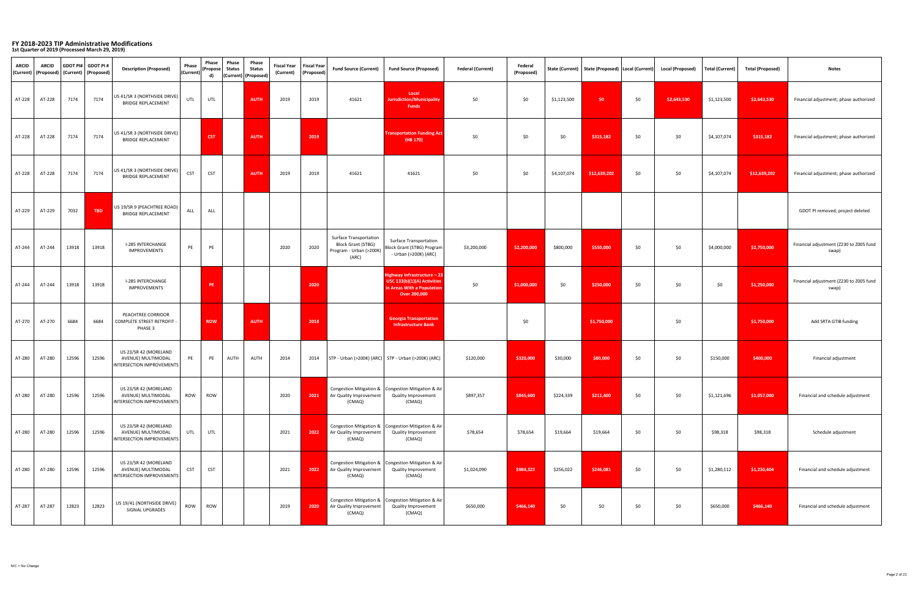| <b>ARCID</b> | <b>ARCID</b><br>  (Current)   (Proposed) |       | $ $ GDOT PI# $ $ GDOT PI #<br>  (Current)   (Proposed) | <b>Description (Proposed)</b>                                            | <b>Phase</b><br>(Current) | <b>Phase</b><br>(Propose<br>d) | <b>Phase</b><br><b>Status</b><br>(Current)   (Proposed) | <b>Phase</b><br><b>Status</b><br>(Current) | Fiscal Year   Fiscal Year  <br>(Proposed) | <b>Fund Source (Current)</b>                                                                   | <b>Fund Source (Proposed)</b>                                                                                     | <b>Federal (Current)</b> | <b>Federal</b><br>(Proposed) |             | State (Current)   State (Proposed)   Local (Current) |     | <b>Local (Proposed)</b> | Total (Current) | <b>Total (Proposed)</b> | <b>Notes</b>                                     |
|--------------|------------------------------------------|-------|--------------------------------------------------------|--------------------------------------------------------------------------|---------------------------|--------------------------------|---------------------------------------------------------|--------------------------------------------|-------------------------------------------|------------------------------------------------------------------------------------------------|-------------------------------------------------------------------------------------------------------------------|--------------------------|------------------------------|-------------|------------------------------------------------------|-----|-------------------------|-----------------|-------------------------|--------------------------------------------------|
| $AT-228$     | AT-228                                   | 7174  | 7174                                                   | US 41/SR 3 (NORTHSIDE DRIVE)<br><b>BRIDGE REPLACEMENT</b>                | <b>UTL</b>                | <b>UTL</b>                     |                                                         | 2019<br><b>AUTH</b>                        | 2019                                      | 41621                                                                                          | Local<br>Jurisdiction/Municipality<br><b>Funds</b>                                                                | \$0                      | \$0                          | \$1,123,500 | \$0                                                  | \$0 | \$2,643,530             | \$1,123,500     | \$2,643,530             | Financial adjustment; phase authorized           |
| $AT-228$     | AT-228                                   | 7174  | 7174                                                   | US 41/SR 3 (NORTHSIDE DRIVE)<br><b>BRIDGE REPLACEMENT</b>                |                           | <b>CST</b>                     |                                                         | <b>AUTH</b>                                | 2019                                      |                                                                                                | <b>Transportation Funding Act</b><br>(HB 170)                                                                     | \$0                      | \$0                          | \$0\$       | \$315,182                                            | \$0 | \$0\$                   | \$4,107,074     | \$315,182               | Financial adjustment; phase authorized           |
| AT-228       | AT-228                                   | 7174  | 7174                                                   | US 41/SR 3 (NORTHSIDE DRIVE)<br><b>BRIDGE REPLACEMENT</b>                | <b>CST</b>                | <b>CST</b>                     |                                                         | 2019<br><b>AUTH</b>                        | 2019                                      | 41621                                                                                          | 41621                                                                                                             | \$0                      | \$0                          | \$4,107,074 | \$12,639,202                                         | \$0 | \$0\$                   | \$4,107,074     | \$12,639,202            | Financial adjustment; phase authorized           |
| $AT-229$     | AT-229                                   | 7032  | <b>TBD</b>                                             | US 19/SR 9 (PEACHTREE ROAD)<br><b>BRIDGE REPLACEMENT</b>                 | ALL                       | ALL                            |                                                         |                                            |                                           |                                                                                                |                                                                                                                   |                          |                              |             |                                                      |     |                         |                 |                         | GDOT PI removed; project deleted                 |
| $AT-244$     | AT-244                                   | 13918 | 13918                                                  | <b>I-285 INTERCHANGE</b><br><b>IMPROVEMENTS</b>                          | PE                        | PE                             |                                                         | 2020                                       | 2020                                      | <b>Surface Transportation</b><br><b>Block Grant (STBG)</b><br>Program - Urban (>200K)<br>(ARC) | <b>Surface Transportation</b><br><b>Block Grant (STBG) Program</b><br>- Urban (>200K) (ARC)                       | \$3,200,000              | \$2,200,000                  | \$800,000   | \$550,000                                            | \$0 | \$0                     | \$4,000,000     | \$2,750,000             | Financial adjustment (Z230 to Z005 fund<br>swap) |
| $AT-244$     | AT-244                                   | 13918 | 13918                                                  | <b>I-285 INTERCHANGE</b><br><b>IMPROVEMENTS</b>                          |                           | PE                             |                                                         |                                            | 2020                                      |                                                                                                | Highway Infrastructure - 23<br>USC $133(b)(1)(A)$ Activities<br>in Areas With a Population<br><b>Over 200,000</b> | \$0                      | \$1,000,000                  | \$0         | \$250,000                                            | \$0 | \$0                     | \$0\$           | \$1,250,000             | Financial adjustment (Z230 to Z005 fund<br>swap) |
| $AT-270$     | AT-270                                   | 6684  | 6684                                                   | PEACHTREE CORRIDOR<br><b>COMPLETE STREET RETROFIT -</b><br>PHASE 3       |                           | <b>ROW</b>                     |                                                         | <b>AUTH</b>                                | 2018                                      |                                                                                                | <b>Georgia Transportation</b><br><b>Infrastructure Bank</b>                                                       |                          | \$0\$                        |             | \$1,750,000                                          |     | \$0                     |                 | \$1,750,000             | Add SRTA GTIB funding                            |
| AT-280 L     | AT-280                                   | 12596 | 12596                                                  | US 23/SR 42 (MORELAND<br>AVENUE) MULTIMODAL<br>INTERSECTION IMPROVEMENTS | PE                        | <b>PE</b>                      | AUTH                                                    | 2014<br><b>AUTH</b>                        | 2014                                      |                                                                                                | $\vert$ STP - Urban (>200K) (ARC) $\vert$ STP - Urban (>200K) (ARC)                                               | \$120,000                | \$320,000                    | \$30,000    | \$80,000                                             | \$0 | \$0                     | \$150,000       | \$400,000               | Financial adjustment                             |
| AT-280       | AT-280                                   | 12596 | 12596                                                  | US 23/SR 42 (MORELAND<br>AVENUE) MULTIMODAL<br>INTERSECTION IMPROVEMENTS | <b>ROW</b>                | <b>ROW</b>                     |                                                         | 2020                                       | 2021                                      | Air Quality Improvement<br>(CMAQ)                                                              | Congestion Mitigation &   Congestion Mitigation & Air<br><b>Quality Improvement</b><br>(CMAQ)                     | \$897,357                | \$845,600                    | \$224,339   | \$211,400                                            | \$0 | \$0                     | \$1,121,696     | \$1,057,000             | Financial and schedule adjustment                |
| AT-280       | AT-280                                   | 12596 | 12596                                                  | US 23/SR 42 (MORELAND<br>AVENUE) MULTIMODAL<br>INTERSECTION IMPROVEMENTS | UTL                       | UTL                            |                                                         | 2021                                       | 2022                                      | Air Quality Improvement<br>(CMAQ)                                                              | Congestion Mitigation &   Congestion Mitigation & Air<br><b>Quality Improvement</b><br>(CMAQ)                     | \$78,654                 | \$78,654                     | \$19,664    | \$19,664                                             | \$0 | \$0                     | \$98,318        | \$98,318                | Schedule adjustment                              |
| AT-280       | AT-280                                   | 12596 | 12596                                                  | US 23/SR 42 (MORELAND<br>AVENUE) MULTIMODAL<br>INTERSECTION IMPROVEMENTS | <b>CST</b>                | <b>CST</b>                     |                                                         | 2021                                       | 2022                                      | Air Quality Improvement<br>(CMAQ)                                                              | Congestion Mitigation &   Congestion Mitigation & Air<br><b>Quality Improvement</b><br>(CMAQ)                     | \$1,024,090              | \$984,323                    | \$256,022   | \$246,081                                            | \$0 | \$0\$                   | \$1,280,112     | \$1,230,404             | Financial and schedule adjustment                |
| AT-287       | AT-287                                   | 12823 | 12823                                                  | US 19/41 (NORTHSIDE DRIVE)<br><b>SIGNAL UPGRADES</b>                     | <b>ROW</b>                | <b>ROW</b>                     |                                                         | 2019                                       | 2020                                      | Air Quality Improvement<br>(CMAQ)                                                              | Congestion Mitigation &   Congestion Mitigation & Air<br><b>Quality Improvement</b><br>(CMAQ)                     | \$650,000                | \$466,140                    | \$0         | \$0\$                                                | \$0 | \$0                     | \$650,000       | \$466,140               | Financial and schedule adjustment                |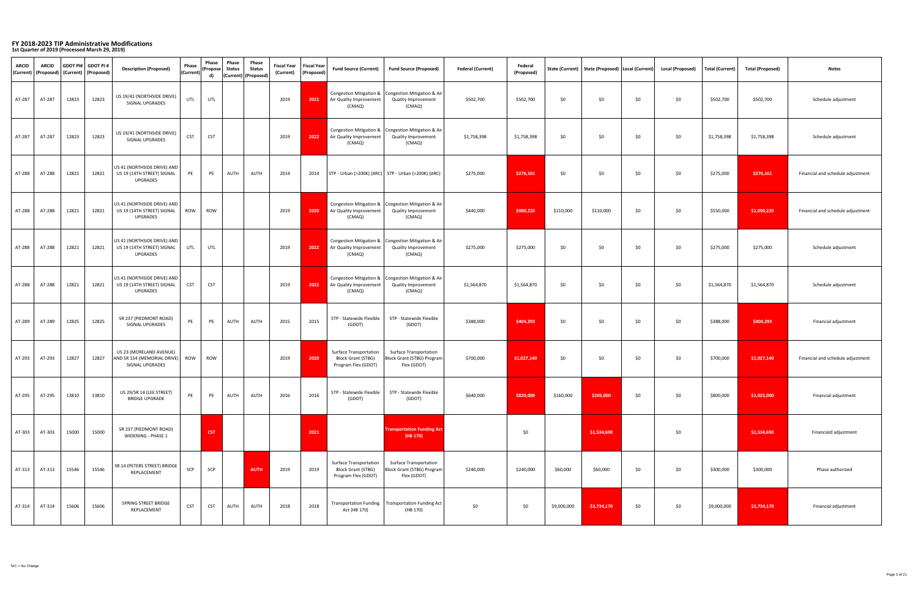| <b>ARCID</b> | <b>ARCID</b><br>  (Current)   (Proposed) |       | GDOT PI# $\vert$ GDOT PI #<br>(Current)   (Proposed) | <b>Description (Proposed)</b>                                                    | <b>Phase</b><br>(Current) | <b>Phase</b><br>(Propose<br>d) | <b>Phase</b><br><b>Status</b> | <b>Phase</b><br><b>Status</b><br>(Current)   (Proposed) | Fiscal Year   Fiscal Year  <br>(Current) | (Proposed) | <b>Fund Source (Current)</b>                                                      | <b>Fund Source (Proposed)</b>                                                                 | <b>Federal (Current)</b> | <b>Federal</b><br>(Proposed) |             | State (Current)   State (Proposed)   Local (Current) |       | <b>Local (Proposed)</b> | <b>Total (Current)</b> | <b>Total (Proposed)</b> | <b>Notes</b>                      |
|--------------|------------------------------------------|-------|------------------------------------------------------|----------------------------------------------------------------------------------|---------------------------|--------------------------------|-------------------------------|---------------------------------------------------------|------------------------------------------|------------|-----------------------------------------------------------------------------------|-----------------------------------------------------------------------------------------------|--------------------------|------------------------------|-------------|------------------------------------------------------|-------|-------------------------|------------------------|-------------------------|-----------------------------------|
| AT-287       | AT-287                                   | 12823 | 12823                                                | US 19/41 (NORTHSIDE DRIVE)<br>SIGNAL UPGRADES                                    | <b>UTL</b>                | UTL                            |                               |                                                         | 2019                                     | 2022       | Air Quality Improvement<br>(CMAQ)                                                 | Congestion Mitigation &   Congestion Mitigation & Air<br><b>Quality Improvement</b><br>(CMAQ) | \$502,700                | \$502,700                    | \$0\$       | \$0                                                  | \$0\$ | \$0\$                   | \$502,700              | \$502,700               | Schedule adjustment               |
| AT-287       | AT-287                                   | 12823 | 12823                                                | US 19/41 (NORTHSIDE DRIVE)<br>SIGNAL UPGRADES                                    | <b>CST</b>                | <b>CST</b>                     |                               |                                                         | 2019                                     | 2022       | Air Quality Improvement<br>(CMAQ)                                                 | Congestion Mitigation &   Congestion Mitigation & Air<br><b>Quality Improvement</b><br>(CMAQ) | \$1,758,398              | \$1,758,398                  | \$0\$       | \$0                                                  | \$0   | \$0\$                   | \$1,758,398            | \$1,758,398             | Schedule adjustment               |
| AT-288       | AT-288                                   | 12821 | 12821                                                | US 41 (NORTHSIDE DRIVE) AND<br>US 19 (14TH STREET) SIGNAL<br><b>UPGRADES</b>     | PE                        | PE                             | AUTH                          | AUTH                                                    | 2014                                     | 2014       |                                                                                   | STP - Urban (>200K) (ARC)   STP - Urban (>200K) (ARC)                                         | \$275,000                | \$276,161                    | \$0         | \$0                                                  | \$0\$ | \$0\$                   | \$275,000              | \$276,161               | Financial and schedule adjustment |
| $AT-288$     | AT-288                                   | 12821 | 12821                                                | US 41 (NORTHSIDE DRIVE) AND<br>US 19 (14TH STREET) SIGNAL<br><b>UPGRADES</b>     | <b>ROW</b>                | <b>ROW</b>                     |                               |                                                         | 2019                                     | 2020       | Air Quality Improvement<br>(CMAQ)                                                 | Congestion Mitigation &   Congestion Mitigation & Air<br><b>Quality Improvement</b><br>(CMAQ) | \$440,000                | \$980,220                    | \$110,000   | \$110,000                                            | \$0   | \$0\$                   | \$550,000              | \$1,090,220             | Financial and schedule adjustment |
| AT-288       | AT-288                                   | 12821 | 12821                                                | US 41 (NORTHSIDE DRIVE) AND  <br>US 19 (14TH STREET) SIGNAL<br><b>UPGRADES</b>   | UTL                       | <b>UTL</b>                     |                               |                                                         | 2019                                     | 2022       | Air Quality Improvement<br>(CMAQ)                                                 | Congestion Mitigation &   Congestion Mitigation & Air<br><b>Quality Improvement</b><br>(CMAQ) | \$275,000                | \$275,000                    | \$0         | \$0                                                  | \$0   | \$0\$                   | \$275,000              | \$275,000               | Schedule adjustment               |
| AT-288       | AT-288                                   | 12821 | 12821                                                | US 41 (NORTHSIDE DRIVE) AND  <br>US 19 (14TH STREET) SIGNAL<br><b>UPGRADES</b>   | <b>CST</b>                | <b>CST</b>                     |                               |                                                         | 2019                                     | 2022       | Air Quality Improvement<br>(CMAQ)                                                 | Congestion Mitigation &   Congestion Mitigation & Air<br><b>Quality Improvement</b><br>(CMAQ) | \$1,564,870              | \$1,564,870                  | \$0         | \$0                                                  | \$0\$ | \$0\$                   | \$1,564,870            | \$1,564,870             | Schedule adjustment               |
| AT-289       | AT-289                                   | 12825 | 12825                                                | SR 237 (PIEDMONT ROAD)<br>SIGNAL UPGRADES                                        | PE                        | PE                             | <b>AUTH</b>                   | <b>AUTH</b>                                             | 2015                                     | 2015       | STP - Statewide Flexible<br>(GDOT)                                                | STP - Statewide Flexible<br>(GDOT)                                                            | \$388,000                | \$404,293                    | \$0         | \$0                                                  | \$0\$ | \$0                     | \$388,000              | \$404,293               | Financial adjustment              |
| AT-293       | AT-293                                   | 12827 | 12827                                                | US 23 (MORELAND AVENUE)<br>AND SR 154 (MEMORIAL DRIVE)<br><b>SIGNAL UPGRADES</b> | <b>ROW</b>                | <b>ROW</b>                     |                               |                                                         | 2019                                     | 2020       | <b>Surface Transportation</b><br><b>Block Grant (STBG)</b><br>Program Flex (GDOT) | <b>Surface Transportation</b><br>Block Grant (STBG) Program<br>Flex (GDOT)                    | \$700,000                | \$1,027,140                  | \$0         | \$0                                                  | \$0   | \$0\$                   | \$700,000              | \$1,027,140             | Financial and schedule adjustment |
| AT-295       | AT-295                                   | 13810 | 13810                                                | US 29/SR 14 (LEE STREET)<br><b>BRIDGE UPGRADE</b>                                | PE                        | PE                             | <b>AUTH</b>                   | <b>AUTH</b>                                             | 2016                                     | 2016       | STP - Statewide Flexible<br>(GDOT)                                                | STP - Statewide Flexible<br>(GDOT)                                                            | \$640,000                | \$820,000                    | \$160,000   | \$205,000                                            | \$0\$ | \$0\$                   | \$800,000              | \$1,025,000             | Financial adjustment              |
| $AT-303$     | AT-303                                   | 15000 | 15000                                                | SR 237 (PIEDMONT ROAD)<br><b>WIDENING - PHASE 1</b>                              |                           | <b>CST</b>                     |                               |                                                         |                                          | 2021       |                                                                                   | <b>Transportation Funding Act</b><br>(HB 170)                                                 |                          | \$0                          |             | \$1,534,690                                          |       | \$0\$                   |                        | \$1,534,690             | Financiald adjustment             |
| AT-313       | AT-313                                   | 15546 | 15546                                                | SR 14 (PETERS STREET) BRIDGE<br>REPLACEMENT                                      | SCP                       | SCP                            |                               | <b>AUTH</b>                                             | 2019                                     | 2019       | <b>Surface Transportation</b><br><b>Block Grant (STBG)</b><br>Program Flex (GDOT) | <b>Surface Transportation</b><br><b>Block Grant (STBG) Program</b><br>Flex (GDOT)             | \$240,000                | \$240,000                    | \$60,000    | \$60,000                                             | \$0   | \$0\$                   | \$300,000              | \$300,000               | Phase authorized                  |
| AT-314       | AT-314                                   | 15606 | 15606                                                | SPRING STREET BRIDGE<br>REPLACEMENT                                              | <b>CST</b>                | <b>CST</b>                     | <b>AUTH</b>                   | <b>AUTH</b>                                             | 2018                                     | 2018       | Act (HB 170)                                                                      | Transportation Funding   Transportation Funding Act<br>(HB 170)                               | \$0                      | \$0                          | \$9,000,000 | \$3,734,170                                          | \$0\$ | \$0\$                   | \$9,000,000            | \$3,734,170             | Financial adjustment              |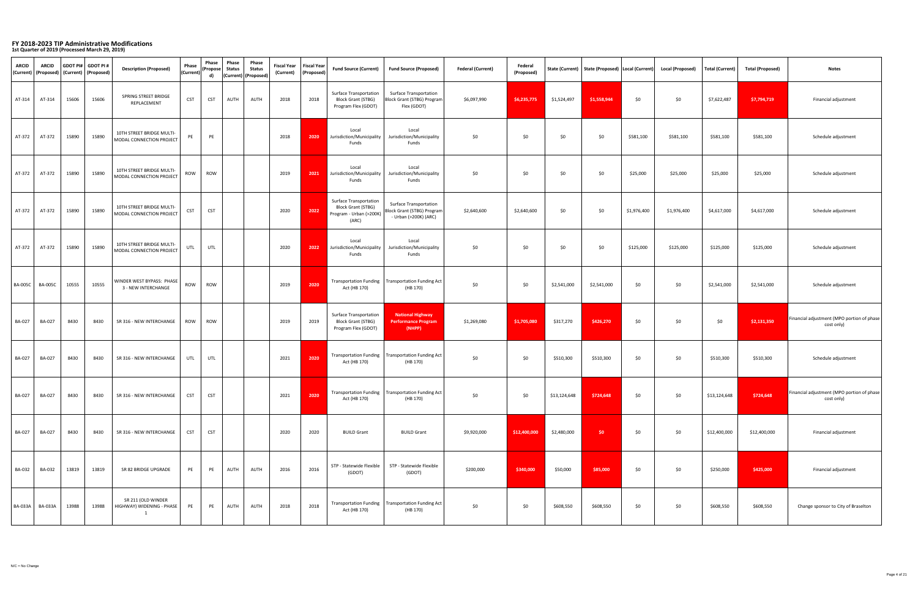| <b>ARCID</b>  | <b>ARCID</b>      |       | GDOT PI# $\vert$ GDOT PI # | <b>Description (Proposed)</b>                         | <b>Phase</b><br>(Current) | <b>Phase</b><br>(Propose<br>d) | <b>Phase</b><br><b>Status</b> | <b>Phase</b><br><b>Status</b><br>(Current)   (Proposed) | (Current) | <b>Fiscal Year   Fiscal Year  </b><br>(Proposed) | <b>Fund Source (Current)</b>                                                                       | <b>Fund Source (Proposed)</b>                                                               | <b>Federal (Current)</b> | Federal<br>(Proposed) |              | State (Current)   State (Proposed)   Local (Current) |             | <b>Local (Proposed)</b> | Total (Current) | <b>Total (Proposed)</b> | <b>Notes</b>                                                            |
|---------------|-------------------|-------|----------------------------|-------------------------------------------------------|---------------------------|--------------------------------|-------------------------------|---------------------------------------------------------|-----------|--------------------------------------------------|----------------------------------------------------------------------------------------------------|---------------------------------------------------------------------------------------------|--------------------------|-----------------------|--------------|------------------------------------------------------|-------------|-------------------------|-----------------|-------------------------|-------------------------------------------------------------------------|
| $AT-314$      | AT-314            | 15606 | 15606                      | SPRING STREET BRIDGE<br>REPLACEMENT                   | <b>CST</b>                | <b>CST</b>                     | <b>AUTH</b>                   | <b>AUTH</b>                                             | 2018      | 2018                                             | <b>Surface Transportation</b><br><b>Block Grant (STBG)</b><br>Program Flex (GDOT)                  | <b>Surface Transportation</b><br><b>Block Grant (STBG) Program</b><br>Flex (GDOT)           | \$6,097,990              | \$6,235,775           | \$1,524,497  | \$1,558,944                                          | \$0         | \$0                     | \$7,622,487     | \$7,794,719             | Financial adjustment                                                    |
| AT-372        | AT-372            | 15890 | 15890                      | 10TH STREET BRIDGE MULTI-<br>MODAL CONNECTION PROJECT | PE                        | PE                             |                               |                                                         | 2018      | 2020                                             | Local<br>Jurisdiction/Municipality<br>Funds                                                        | Local<br>Jurisdiction/Municipality<br>Funds                                                 | \$0                      | \$0                   | \$0          | \$0                                                  | \$581,100   | \$581,100               | \$581,100       | \$581,100               | Schedule adjustment                                                     |
| AT-372        | AT-372            | 15890 | 15890                      | 10TH STREET BRIDGE MULTI-<br>MODAL CONNECTION PROJECT | <b>ROW</b>                | <b>ROW</b>                     |                               |                                                         | 2019      | 2021                                             | Local<br>Jurisdiction/Municipality<br>Funds                                                        | Local<br>Jurisdiction/Municipality<br>Funds                                                 | \$0                      | \$0\$                 | \$0          | \$0                                                  | \$25,000    | \$25,000                | \$25,000        | \$25,000                | Schedule adjustment                                                     |
| AT-372        | AT-372            | 15890 | 15890                      | 10TH STREET BRIDGE MULTI-<br>MODAL CONNECTION PROJECT | <b>CST</b>                | <b>CST</b>                     |                               |                                                         | 2020      | 2022                                             | <b>Surface Transportation</b><br><b>Block Grant (STBG)</b><br>Program - Urban (>200K) $ $<br>(ARC) | <b>Surface Transportation</b><br><b>Block Grant (STBG) Program</b><br>- Urban (>200K) (ARC) | \$2,640,600              | \$2,640,600           | \$0\$        | \$0                                                  | \$1,976,400 | \$1,976,400             | \$4,617,000     | \$4,617,000             | Schedule adjustment                                                     |
| AT-372        | AT-372            | 15890 | 15890                      | 10TH STREET BRIDGE MULTI-<br>MODAL CONNECTION PROJECT | <b>UTL</b>                | <b>UTL</b>                     |                               |                                                         | 2020      | 2022                                             | Local<br>Jurisdiction/Municipality<br>Funds                                                        | Local<br>Jurisdiction/Municipality<br>Funds                                                 | \$0                      | \$0                   | \$0          | \$0                                                  | \$125,000   | \$125,000               | \$125,000       | \$125,000               | Schedule adjustment                                                     |
| BA-005C       | <b>BA-005C</b>    | 10555 | 10555                      | WINDER WEST BYPASS: PHASE  <br>3 - NEW INTERCHANGE    | <b>ROW</b>                | <b>ROW</b>                     |                               |                                                         | 2019      | 2020                                             | Act (HB 170)                                                                                       | Transportation Funding   Transportation Funding Act<br>(HB 170)                             | \$0                      | \$0                   | \$2,541,000  | \$2,541,000                                          | \$0         | \$0                     | \$2,541,000     | \$2,541,000             | Schedule adjustment                                                     |
| <b>BA-027</b> | <b>BA-027</b>     | 8430  | 8430                       | SR 316 - NEW INTERCHANGE                              | <b>ROW</b>                | <b>ROW</b>                     |                               |                                                         | 2019      | 2019                                             | <b>Surface Transportation</b><br><b>Block Grant (STBG)</b><br>Program Flex (GDOT)                  | <b>National Highway</b><br>Performance Program<br>(NHPP)                                    | \$1,269,080              | \$1,705,080           | \$317,270    | \$426,270                                            | \$0         | \$0\$                   | \$0\$           | \$2,131,350             | Financial adjustment (MPO portion of phase)<br>cost only)               |
| <b>BA-027</b> | <b>BA-027</b>     | 8430  | 8430                       | SR 316 - NEW INTERCHANGE                              | UTL                       | UTL                            |                               |                                                         | 2021      | 2020                                             | <b>Transportation Funding</b><br>Act (HB 170)                                                      | Transportation Funding Act<br>(HB 170)                                                      | \$0                      | \$0\$                 | \$510,300    | \$510,300                                            | \$0         | \$0\$                   | \$510,300       | \$510,300               | Schedule adjustment                                                     |
| <b>BA-027</b> | <b>BA-027</b>     | 8430  | 8430                       | SR 316 - NEW INTERCHANGE                              | <b>CST</b>                | <b>CST</b>                     |                               |                                                         | 2021      | 2020                                             | Act (HB 170)                                                                                       | Transportation Funding   Transportation Funding Act<br>(HB 170)                             | \$0                      | \$0                   | \$13,124,648 | \$724,648                                            | \$0         | \$0                     | \$13,124,648    | \$724,648               | <sup>1</sup> Financial adjustment (MPO portion of phase  <br>cost only) |
| <b>BA-027</b> | <b>BA-027</b>     | 8430  | 8430                       | SR 316 - NEW INTERCHANGE                              | <b>CST</b>                | <b>CST</b>                     |                               |                                                         | 2020      | 2020                                             | <b>BUILD Grant</b>                                                                                 | <b>BUILD Grant</b>                                                                          | \$9,920,000              | \$12,400,000          | \$2,480,000  | \$0                                                  | \$0         | \$0                     | \$12,400,000    | \$12,400,000            | Financial adjustment                                                    |
| <b>BA-032</b> | <b>BA-032</b>     | 13819 | 13819                      | SR 82 BRIDGE UPGRADE                                  | PE                        | PE                             | AUTH                          | <b>AUTH</b>                                             | 2016      | 2016                                             | STP - Statewide Flexible<br>(GDOT)                                                                 | STP - Statewide Flexible<br>(GDOT)                                                          | \$200,000                | \$340,000             | \$50,000     | \$85,000                                             | \$0         | \$0                     | \$250,000       | \$425,000               | Financial adjustment                                                    |
|               | BA-033A   BA-033A | 13988 | 13988                      | SR 211 (OLD WINDER<br>  HIGHWAY) WIDENING - PHASE     | PE                        | <b>PE</b>                      | AUTH                          | <b>AUTH</b>                                             | 2018      | 2018                                             | Act (HB 170)                                                                                       | Transportation Funding   Transportation Funding Act<br>(HB 170)                             | \$0                      | \$0                   | \$608,550    | \$608,550                                            | \$0         | \$0                     | \$608,550       | \$608,550               | Change sponsor to City of Braselton                                     |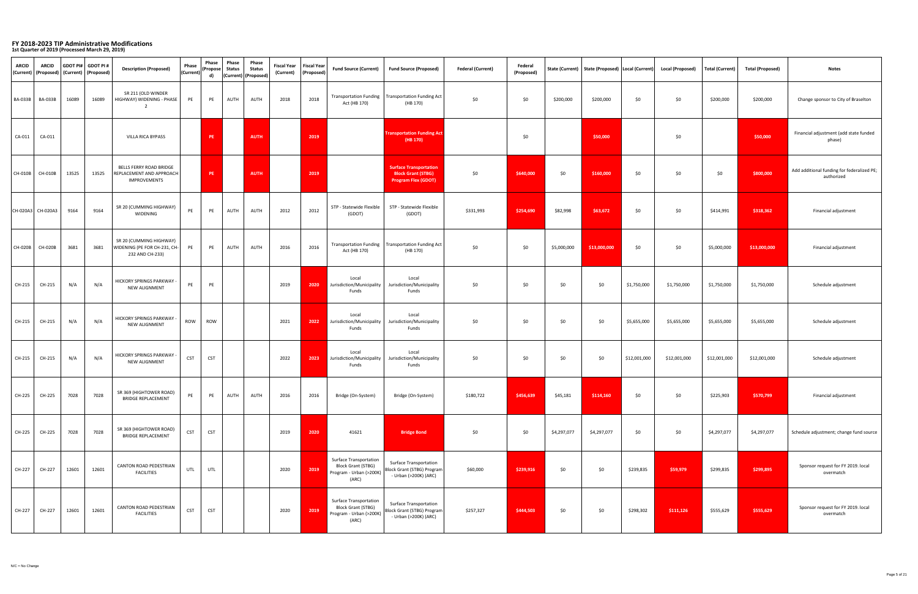| <b>ARCID</b>  | <b>ARCID</b>      |       | $ $ GDOT PI# $ $ GDOT PI # | <b>Description (Proposed)</b>                                              | <b>Phase</b><br>(Current) | <b>Phase</b><br> (Propose <br>d) | <b>Phase</b><br><b>Status</b> | <b>Phase</b><br><b>Status</b><br>(Current)   (Proposed) | Fiscal Year   Fiscal Year  <br>(Current) | (Proposed) | <b>Fund Source (Current)</b>                                                                   | <b>Fund Source (Proposed)</b>                                                               | <b>Federal (Current)</b> | Federal<br>(Proposed) |             | State (Current)   State (Proposed)  Local (Current) |              | <b>Local (Proposed)</b> | <b>Total (Current)</b> | <b>Total (Proposed)</b> | <b>Notes</b>                                             |
|---------------|-------------------|-------|----------------------------|----------------------------------------------------------------------------|---------------------------|----------------------------------|-------------------------------|---------------------------------------------------------|------------------------------------------|------------|------------------------------------------------------------------------------------------------|---------------------------------------------------------------------------------------------|--------------------------|-----------------------|-------------|-----------------------------------------------------|--------------|-------------------------|------------------------|-------------------------|----------------------------------------------------------|
| BA-033B       | <b>BA-033B</b>    | 16089 | 16089                      | SR 211 (OLD WINDER<br>HIGHWAY) WIDENING - PHASE                            | PE                        | PE                               | AUTH                          | AUTH                                                    | 2018                                     | 2018       | Act (HB 170)                                                                                   | Transportation Funding   Transportation Funding Act  <br>(HB 170)                           | \$0                      | \$0                   | \$200,000   | \$200,000                                           | \$0          | \$0\$                   | \$200,000              | \$200,000               | Change sponsor to City of Braselton                      |
| CA-011        | CA-011            |       |                            | <b>VILLA RICA BYPASS</b>                                                   |                           | <b>PE</b>                        |                               | <b>AUTH</b>                                             |                                          | 2019       |                                                                                                | <b>Transportation Funding Act</b><br>(HB 170)                                               |                          | \$0                   |             | \$50,000                                            |              | \$0\$                   |                        | \$50,000                | Financial adjustment (add state funded<br>phase)         |
| $CH-O10B$     | <b>CH-010B</b>    | 13525 | 13525                      | BELLS FERRY ROAD BRIDGE<br>REPLACEMENT AND APPROACH<br><b>IMPROVEMENTS</b> |                           | PE                               |                               | <b>AUTH</b>                                             |                                          | 2019       |                                                                                                | <b>Surface Transportation</b><br><b>Block Grant (STBG)</b><br><b>Program Flex (GDOT)</b>    | \$0\$                    | \$640,000             | \$0         | \$160,000                                           | \$0          | \$0\$                   | \$0                    | \$800,000               | Add additional funding for federalized PE;<br>authorized |
|               | CH-020A3 CH-020A3 | 9164  | 9164                       | SR 20 (CUMMING HIGHWAY)<br>WIDENING                                        | PE                        | PE                               | AUTH                          | AUTH                                                    | 2012                                     | 2012       | STP - Statewide Flexible<br>(GDOT)                                                             | STP - Statewide Flexible<br>(GDOT)                                                          | \$331,993                | \$254,690             | \$82,998    | \$63,672                                            | \$0          | \$0\$                   | \$414,991              | \$318,362               | Financial adjustment                                     |
| CH-020B       | <b>CH-020B</b>    | 3681  | 3681                       | SR 20 (CUMMING HIGHWAY)<br>WIDENING (PE FOR CH-231, CH-<br>232 AND CH-233) | PE                        | PE                               | <b>AUTH</b>                   | AUTH                                                    | 2016                                     | 2016       | Act (HB 170)                                                                                   | Transportation Funding   Transportation Funding Act  <br>(HB 170)                           | \$0                      | \$0                   | \$5,000,000 | \$13,000,000                                        | \$0          | \$0\$                   | \$5,000,000            | \$13,000,000            | Financial adjustment                                     |
| <b>CH-215</b> | CH-215            | N/A   | N/A                        | <b>HICKORY SPRINGS PARKWAY</b><br><b>NEW ALIGNMENT</b>                     | PE                        | PE                               |                               |                                                         | 2019                                     | 2020       | Local<br>Jurisdiction/Municipality<br>Funds                                                    | Local<br>Jurisdiction/Municipality<br>Funds                                                 | \$0\$                    | \$0\$                 | \$0         | \$0                                                 | \$1,750,000  | \$1,750,000             | \$1,750,000            | \$1,750,000             | Schedule adjustment                                      |
| $CH-215$      | CH-215            | N/A   | N/A                        | <b>HICKORY SPRINGS PARKWAY -</b><br><b>NEW ALIGNMENT</b>                   | <b>ROW</b>                | <b>ROW</b>                       |                               |                                                         | 2021                                     | 2022       | Local<br>Jurisdiction/Municipality<br>Funds                                                    | Local<br>Jurisdiction/Municipality<br>Funds                                                 | \$0\$                    | \$0\$                 | \$0         | \$0                                                 | \$5,655,000  | \$5,655,000             | \$5,655,000            | \$5,655,000             | Schedule adjustment                                      |
| <b>CH-215</b> | CH-215            | N/A   | N/A                        | <b>HICKORY SPRINGS PARKWAY -</b><br><b>NEW ALIGNMENT</b>                   | <b>CST</b>                | <b>CST</b>                       |                               |                                                         | 2022                                     | 2023       | Local<br>Jurisdiction/Municipality<br>Funds                                                    | Local<br>Jurisdiction/Municipality<br>Funds                                                 | \$0                      | \$0                   | \$0         | \$0                                                 | \$12,001,000 | \$12,001,000            | \$12,001,000           | \$12,001,000            | Schedule adjustment                                      |
| CH-225        | CH-225            | 7028  | 7028                       | SR 369 (HIGHTOWER ROAD)<br><b>BRIDGE REPLACEMENT</b>                       | PE                        | PE                               | AUTH                          | <b>AUTH</b>                                             | 2016                                     | 2016       | Bridge (On-System)                                                                             | Bridge (On-System)                                                                          | \$180,722                | \$456,639             | \$45,181    | \$114,160                                           | \$0          | \$0                     | \$225,903              | \$570,799               | Financial adjustment                                     |
| <b>CH-225</b> | CH-225            | 7028  | 7028                       | SR 369 (HIGHTOWER ROAD)<br><b>BRIDGE REPLACEMENT</b>                       | <b>CST</b>                | <b>CST</b>                       |                               |                                                         | 2019                                     | 2020       | 41621                                                                                          | <b>Bridge Bond</b>                                                                          | \$0                      | \$0                   | \$4,297,077 | \$4,297,077                                         | \$0\$        | \$0\$                   | \$4,297,077            | \$4,297,077             | Schedule adjustment; change fund source                  |
| <b>CH-227</b> | CH-227            | 12601 | 12601                      | <b>CANTON ROAD PEDESTRIAN</b><br><b>FACILITIES</b>                         | UTL                       | UTL                              |                               |                                                         | 2020                                     | 2019       | <b>Surface Transportation</b><br><b>Block Grant (STBG)</b><br>Program - Urban (>200K)<br>(ARC) | <b>Surface Transportation</b><br>Block Grant (STBG) Program<br>- Urban (>200K) (ARC)        | \$60,000                 | \$239,916             | \$0         | \$0                                                 | \$239,835    | \$59,979                | \$299,835              | \$299,895               | Sponsor request for FY 2019. local<br>overmatch          |
| CH-227        | CH-227            | 12601 | 12601                      | <b>CANTON ROAD PEDESTRIAN</b><br><b>FACILITIES</b>                         | <b>CST</b>                | <b>CST</b>                       |                               |                                                         | 2020                                     | 2019       | <b>Surface Transportation</b><br><b>Block Grant (STBG)</b><br>Program - Urban (>200K)<br>(ARC) | <b>Surface Transportation</b><br><b>Block Grant (STBG) Program</b><br>- Urban (>200K) (ARC) | \$257,327                | \$444,503             | \$0         | \$0                                                 | \$298,302    | \$111,126               | \$555,629              | \$555,629               | Sponsor request for FY 2019. local<br>overmatch          |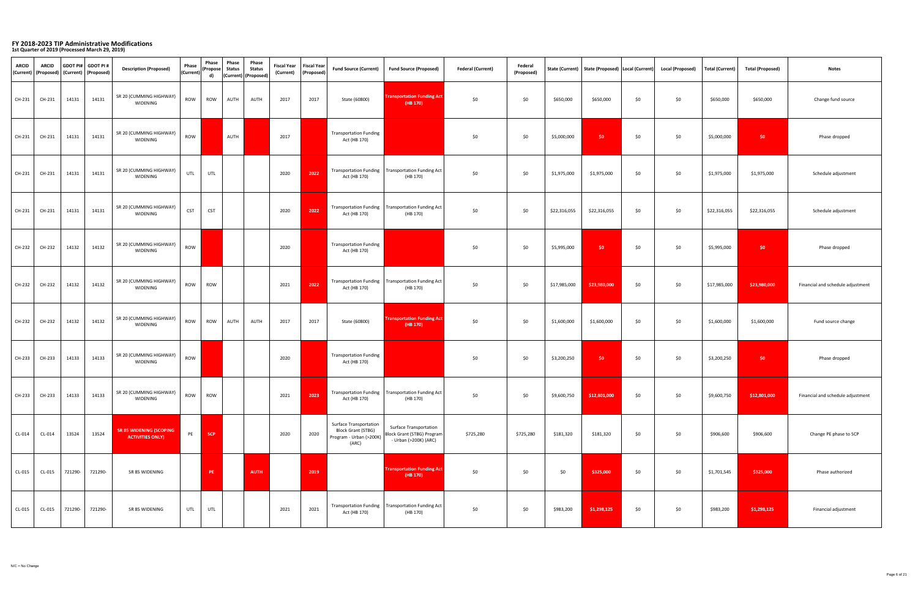| <b>ARCID</b>   | <b>ARCID</b><br>  (Current)   (Proposed) |         | <b>GDOT PI#</b> GDOT PI#<br>  (Current)   (Proposed) | <b>Description (Proposed)</b>                             | <b>Phase</b><br>(Current) | <b>Phase</b><br>(Propose<br>d) | <b>Phase</b><br><b>Status</b> | Phase<br><b>Status</b><br>  (Current)   (Proposed) | Fiscal Year   Fiscal Year  <br>(Current) | (Proposed) | <b>Fund Source (Current)</b>                                                                   | <b>Fund Source (Proposed)</b>                                                        | <b>Federal (Current)</b> | <b>Federal</b><br>(Proposed) |              |              |       | State (Current)   State (Proposed)   Local (Current)   Local (Proposed) | <b>Total (Current)</b> | <b>Total (Proposed)</b> | <b>Notes</b>                      |
|----------------|------------------------------------------|---------|------------------------------------------------------|-----------------------------------------------------------|---------------------------|--------------------------------|-------------------------------|----------------------------------------------------|------------------------------------------|------------|------------------------------------------------------------------------------------------------|--------------------------------------------------------------------------------------|--------------------------|------------------------------|--------------|--------------|-------|-------------------------------------------------------------------------|------------------------|-------------------------|-----------------------------------|
| $CH-231$       | $CH-231$                                 | 14131   | 14131                                                | SR 20 (CUMMING HIGHWAY)<br>WIDENING                       | <b>ROW</b>                | ROW                            | AUTH                          | <b>AUTH</b>                                        | 2017                                     | 2017       | State (60800)                                                                                  | <b>Transportation Funding Act</b><br>(HB 170)                                        | \$0                      | \$0                          | \$650,000    | \$650,000    | \$0\$ | \$0\$                                                                   | \$650,000              | \$650,000               | Change fund source                |
| $CH-231$       | CH-231                                   | 14131   | 14131                                                | SR 20 (CUMMING HIGHWAY)<br>WIDENING                       | <b>ROW</b>                |                                | <b>AUTH</b>                   |                                                    | 2017                                     |            | <b>Transportation Funding</b><br>Act (HB 170)                                                  |                                                                                      | \$0                      | \$0                          | \$5,000,000  | \$0          | \$0   | \$0\$                                                                   | \$5,000,000            | \$0                     | Phase dropped                     |
| $ $ CH-231 $ $ | CH-231                                   | 14131   | 14131                                                | SR 20 (CUMMING HIGHWAY)<br>WIDENING                       | <b>UTL</b>                | UTL                            |                               |                                                    | 2020                                     | 2022       | Act (HB 170)                                                                                   | Transportation Funding   Transportation Funding Act<br>(HB 170)                      | \$0                      | \$0                          | \$1,975,000  | \$1,975,000  | \$0\$ | \$0\$                                                                   | \$1,975,000            | \$1,975,000             | Schedule adjustment               |
| $CH-231$       | $CH-231$                                 | 14131   | 14131                                                | SR 20 (CUMMING HIGHWAY)<br>WIDENING                       | <b>CST</b>                | <b>CST</b>                     |                               |                                                    | 2020                                     | 2022       | Act (HB 170)                                                                                   | Transportation Funding   Transportation Funding Act<br>(HB 170)                      | \$0                      | \$0                          | \$22,316,055 | \$22,316,055 | \$0   | \$0\$                                                                   | \$22,316,055           | \$22,316,055            | Schedule adjustment               |
| $CH-232$       | CH-232                                   | 14132   | 14132                                                | SR 20 (CUMMING HIGHWAY)<br>WIDENING                       | <b>ROW</b>                |                                |                               |                                                    | 2020                                     |            | <b>Transportation Funding</b><br>Act (HB 170)                                                  |                                                                                      | \$0                      | \$0                          | \$5,995,000  | \$0          | \$0   | \$0\$                                                                   | \$5,995,000            | \$0                     | Phase dropped                     |
| $CH-232$       | CH-232                                   | 14132   | 14132                                                | SR 20 (CUMMING HIGHWAY)<br>WIDENING                       | <b>ROW</b>                | <b>ROW</b>                     |                               |                                                    | 2021                                     | 2022       | Act (HB 170)                                                                                   | Transportation Funding   Transportation Funding Act<br>(HB 170)                      | \$0                      | \$0                          | \$17,985,000 | \$23,980,000 | \$0\$ | \$0\$                                                                   | \$17,985,000           | \$23,980,000            | Financial and schedule adjustment |
| $CH-232$       | <b>CH-232</b>                            | 14132   | 14132                                                | SR 20 (CUMMING HIGHWAY)<br>WIDENING                       | <b>ROW</b>                | <b>ROW</b>                     | AUTH                          | AUTH                                               | 2017                                     | 2017       | State (60800)                                                                                  | <b>Transportation Funding Act</b><br>(HB 170)                                        | \$0                      | \$0                          | \$1,600,000  | \$1,600,000  | \$0\$ | \$0                                                                     | \$1,600,000            | \$1,600,000             | Fund source change                |
| $CH-233$       | CH-233                                   | 14133   | 14133                                                | SR 20 (CUMMING HIGHWAY)<br>WIDENING                       | <b>ROW</b>                |                                |                               |                                                    | 2020                                     |            | <b>Transportation Funding</b><br>Act (HB 170)                                                  |                                                                                      | \$0                      | \$0                          | \$3,200,250  | \$0          | \$0\$ | \$0\$                                                                   | \$3,200,250            | \$0                     | Phase dropped                     |
| CH-233         | CH-233                                   | 14133   | 14133                                                | SR 20 (CUMMING HIGHWAY)<br>WIDENING                       | <b>ROW</b>                | <b>ROW</b>                     |                               |                                                    | 2021                                     | 2023       | Act (HB 170)                                                                                   | Transportation Funding   Transportation Funding Act<br>(HB 170)                      | \$0                      | \$0                          | \$9,600,750  | \$12,801,000 | \$0   | \$0\$                                                                   | \$9,600,750            | \$12,801,000            | Financial and schedule adjustment |
| $CL-014$       | $CL-014$                                 | 13524   | 13524                                                | <b>SR 85 WIDENING (SCOPING</b><br><b>ACTIVITIES ONLY)</b> | PE                        | <b>SCP</b>                     |                               |                                                    | 2020                                     | 2020       | <b>Surface Transportation</b><br><b>Block Grant (STBG)</b><br>Program - Urban (>200K)<br>(ARC) | <b>Surface Transportation</b><br>Block Grant (STBG) Program<br>- Urban (>200K) (ARC) | \$725,280                | \$725,280                    | \$181,320    | \$181,320    | \$0   | \$0\$                                                                   | \$906,600              | \$906,600               | Change PE phase to SCP            |
| $CL-015$       | $CL-015$                                 | 721290  | 721290-                                              | SR 85 WIDENING                                            |                           | PE                             |                               | <b>AUTH</b>                                        |                                          | 2019       |                                                                                                | <b>Transportation Funding Act</b><br>(HB 170)                                        | \$0                      | \$0                          | \$0          | \$325,000    | \$0   | \$0\$                                                                   | \$1,701,545            | \$325,000               | Phase authorized                  |
| $CL-015$       | CL-015                                   | 721290- | 721290-                                              | SR 85 WIDENING                                            | UTL                       | UTL                            |                               |                                                    | 2021                                     | 2021       | Act (HB 170)                                                                                   | Transportation Funding   Transportation Funding Act<br>(HB 170)                      | \$0                      | \$0                          | \$983,200    | \$1,298,125  | \$0   | \$0\$                                                                   | \$983,200              | \$1,298,125             | Financial adjustment              |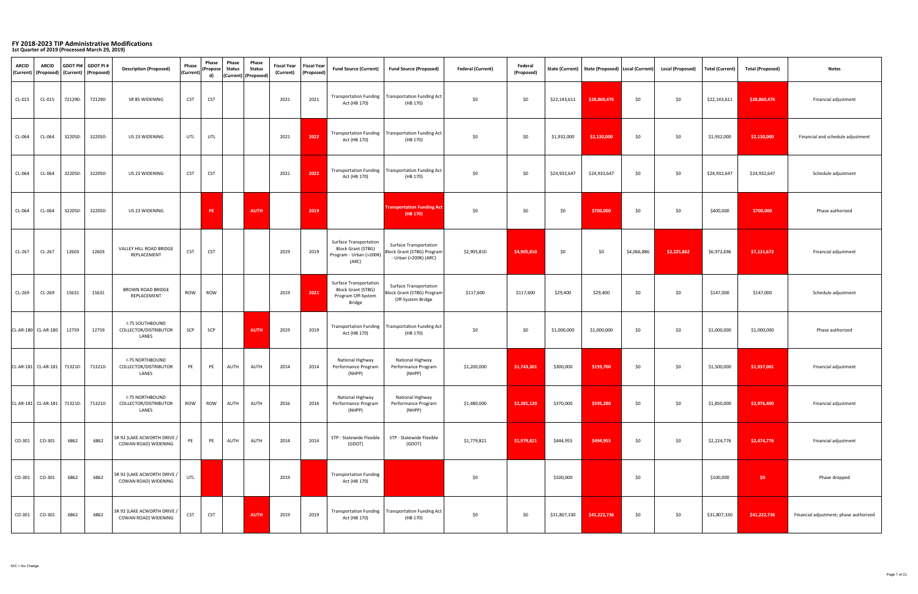| <b>ARCID</b> | <b>ARCID</b><br>  (Current)   (Proposed) |         | $\vert$ GDOT PI# $\vert$ GDOT PI #<br>  (Current)   (Proposed) | <b>Description (Proposed)</b>                                  | <b>Phase</b><br>(Current) | Phase<br>$ $ (Propose $ $<br>d) | <b>Phase</b><br><b>Status</b> | <b>Phase</b><br><b>Status</b><br>  (Current)   (Proposed) | Fiscal Year   Fiscal Year  <br>(Current) | (Proposed) | <b>Fund Source (Current)</b>                                                                      | <b>Fund Source (Proposed)</b>                                                           | <b>Federal (Current)</b> | Federal<br>(Proposed) |              | State (Current)   State (Proposed)   Local (Current) |             | <b>Local (Proposed)</b> | <b>Total (Current)</b> | <b>Total (Proposed)</b> | <b>Notes</b>                           |
|--------------|------------------------------------------|---------|----------------------------------------------------------------|----------------------------------------------------------------|---------------------------|---------------------------------|-------------------------------|-----------------------------------------------------------|------------------------------------------|------------|---------------------------------------------------------------------------------------------------|-----------------------------------------------------------------------------------------|--------------------------|-----------------------|--------------|------------------------------------------------------|-------------|-------------------------|------------------------|-------------------------|----------------------------------------|
| CL-015       | $CL-015$                                 | 721290- | 721290-                                                        | SR 85 WIDENING                                                 | <b>CST</b>                | <b>CST</b>                      |                               |                                                           | 2021                                     | 2021       | Act (HB 170)                                                                                      | Transportation Funding   Transportation Funding Act  <br>(HB 170)                       | \$0                      | \$0                   | \$22,143,611 | \$28,860,476                                         | \$0         | \$0                     | \$22,143,611           | \$28,860,476            | Financial adjustment                   |
| CL-064       | CL-064                                   | 322050- | 322050-                                                        | US 23 WIDENING                                                 | <b>UTL</b>                | UTL                             |                               |                                                           | 2021                                     | 2022       | Act (HB 170)                                                                                      | Transportation Funding   Transportation Funding Act  <br>(HB 170)                       | \$0                      | \$0                   | \$1,932,000  | \$2,130,000                                          | \$0         | \$0                     | \$1,932,000            | \$2,130,000             | Financial and schedule adjustment      |
| CL-064       | CL-064                                   | 322050- | 322050-                                                        | US 23 WIDENING                                                 | <b>CST</b>                | <b>CST</b>                      |                               |                                                           | 2021                                     | 2022       | Act (HB 170)                                                                                      | Transportation Funding   Transportation Funding Act  <br>(HB 170)                       | \$0                      | \$0                   | \$24,932,647 | \$24,932,647                                         | \$0\$       | \$0                     | \$24,932,647           | \$24,932,647            | Schedule adjustment                    |
| CL-064       | CL-064                                   | 322050- | 322050-                                                        | US 23 WIDENING                                                 |                           | PE                              |                               | <b>AUTH</b>                                               |                                          | 2019       |                                                                                                   | <b>Transportation Funding Act</b><br>(HB 170)                                           | \$0                      | \$0                   | \$0          | \$700,000                                            | \$0         | \$0                     | \$400,000              | \$700,000               | Phase authorized                       |
| $CL-267$     | $CL-267$                                 | 12603   | 12603                                                          | VALLEY HILL ROAD BRIDGE<br>REPLACEMENT                         | <b>CST</b>                | <b>CST</b>                      |                               |                                                           | 2019                                     | 2019       | <b>Surface Transportation</b><br><b>Block Grant (STBG)</b><br>Program - Urban (>200K)<br>(ARC)    | <b>Surface Transportation</b><br>Block Grant (STBG) Program<br>- Urban (>200K) (ARC)    | \$2,905,810              | \$4,905,810           | \$0          | \$0                                                  | \$4,066,886 | \$2,225,862             | \$6,972,696            | \$7,131,672             | Financial adjustment                   |
| $CL-269$     | $CL-269$                                 | 15631   | 15631                                                          | <b>BROWN ROAD BRIDGE</b><br>REPLACEMENT                        | <b>ROW</b>                | <b>ROW</b>                      |                               |                                                           | 2019                                     | 2021       | <b>Surface Transportation</b><br><b>Block Grant (STBG)</b><br>Program Off-System<br><b>Bridge</b> | <b>Surface Transportation</b><br><b>Block Grant (STBG) Program</b><br>Off-System Bridge | \$117,600                | \$117,600             | \$29,400     | \$29,400                                             | \$0         | \$0\$                   | \$147,000              | \$147,000               | Schedule adjustment                    |
|              | CL-AR-180   CL-AR-180                    | 12759   | 12759                                                          | <b>I-75 SOUTHBOUND</b><br>COLLECTOR/DISTRIBUTOR<br>LANES       | SCP                       | SCP                             |                               | <b>AUTH</b>                                               | 2019                                     | 2019       | Act (HB 170)                                                                                      | Transportation Funding   Transportation Funding Act  <br>(HB 170)                       | \$0                      | \$0                   | \$1,000,000  | \$1,000,000                                          | \$0\$       | \$0                     | \$1,000,000            | \$1,000,000             | Phase authorized                       |
|              | CL-AR-181   CL-AR-181   713210-          |         | 713210-                                                        | <b>I-75 NORTHBOUND</b><br>COLLECTOR/DISTRIBUTOR<br>LANES       | PE                        | PE                              | <b>AUTH</b>                   | <b>AUTH</b>                                               | 2014                                     | 2014       | National Highway<br>Performance Program<br>(NHPP)                                                 | National Highway<br>Performance Program<br>(NHPP)                                       | \$1,200,000              | \$1,743,301           | \$300,000    | \$193,700                                            | \$0         | \$0\$                   | \$1,500,000            | \$1,937,001             | Financial adjustment                   |
|              | CL-AR-181   CL-AR-181   713210-          |         | 713210                                                         | <b>I-75 NORTHBOUND</b><br>COLLECTOR/DISTRIBUTOR<br>LANES       | <b>ROW</b>                | ROW                             | AUTH                          | AUTH                                                      | 2016                                     | 2016       | National Highway<br>Performance Program<br>(NHPP)                                                 | National Highway<br>Performance Program<br>(NHPP)                                       | \$1,480,000              | \$2,381,120           | \$370,000    | \$595,280                                            | \$0         | \$0\$                   | \$1,850,000            | \$2,976,400             | Financial adjustment                   |
| $CO-301$     | CO-301                                   | 6862    | 6862                                                           | $\sqrt{2}$ SR 92 (LAKE ACWORTH DRIVE /<br>COWAN ROAD) WIDENING | PE                        | PE                              | AUTH                          | <b>AUTH</b>                                               | 2014                                     | 2014       | STP - Statewide Flexible<br>(GDOT)                                                                | STP - Statewide Flexible<br>(GDOT)                                                      | \$1,779,821              | \$1,979,821           | \$444,955    | \$494,955                                            | \$0         | \$0                     | \$2,224,776            | \$2,474,776             | Financial adjustment                   |
| $CO-301$     | CO-301                                   | 6862    | 6862                                                           | SR 92 (LAKE ACWORTH DRIVE / $ $<br>COWAN ROAD) WIDENING        | UTL                       |                                 |                               |                                                           | 2019                                     |            | <b>Transportation Funding</b><br>Act (HB 170)                                                     |                                                                                         | \$0                      |                       | \$100,000    |                                                      | \$0         |                         | \$100,000              | \$0\$                   | Phase dropped                          |
| $CO-301$     | CO-301                                   | 6862    | 6862                                                           | SR 92 (LAKE ACWORTH DRIVE /<br>COWAN ROAD) WIDENING            | <b>CST</b>                | <b>CST</b>                      |                               | <b>AUTH</b>                                               | 2019                                     | 2019       | Act (HB 170)                                                                                      | Transportation Funding   Transportation Funding Act  <br>(HB 170)                       | \$0                      | \$0                   | \$31,807,330 | \$41,222,736                                         | \$0         | \$0\$                   | \$31,807,330           | \$41,222,736            | Financial adjustment; phase authorized |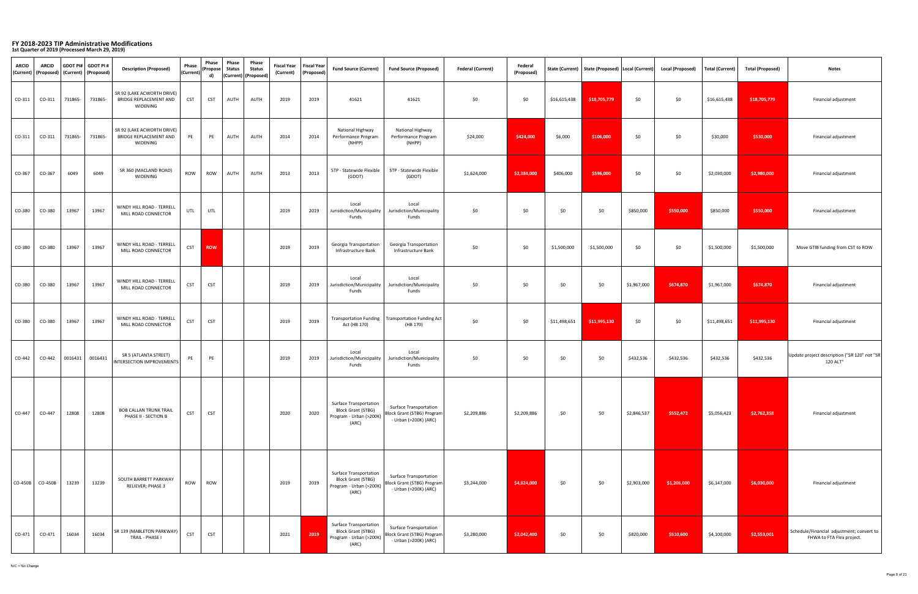| <b>ARCID</b> | <b>ARCID</b><br>  (Current)   (Proposed) |         | GDOT PI# $\vert$ GDOT PI #<br>  (Current)   (Proposed) | <b>Description (Proposed)</b>                                    | <b>Phase</b><br>(Current) | <b>Phase</b><br>(Propose<br>d) | <b>Phase</b><br><b>Status</b> | <b>Phase</b><br><b>Status</b><br>(Current)   (Proposed) | <b>Fiscal Year   Fiscal Year  </b><br>(Current) | (Proposed) | <b>Fund Source (Current)</b>                                                                          | <b>Fund Source (Proposed)</b>                                                               | <b>Federal (Current)</b> | <b>Federal</b><br>(Proposed) |              | State (Current)   State (Proposed)   Local (Current) |             | <b>Local (Proposed)</b> | Total (Current) | <b>Total (Proposed)</b> | <b>Notes</b>                                                             |
|--------------|------------------------------------------|---------|--------------------------------------------------------|------------------------------------------------------------------|---------------------------|--------------------------------|-------------------------------|---------------------------------------------------------|-------------------------------------------------|------------|-------------------------------------------------------------------------------------------------------|---------------------------------------------------------------------------------------------|--------------------------|------------------------------|--------------|------------------------------------------------------|-------------|-------------------------|-----------------|-------------------------|--------------------------------------------------------------------------|
| $CO-311$     | $CO-311$                                 | 731865  | 731865-                                                | SR 92 (LAKE ACWORTH DRIVE)<br>BRIDGE REPLACEMENT AND<br>WIDENING | <b>CST</b>                | <b>CST</b>                     | AUTH                          | <b>AUTH</b>                                             | 2019                                            | 2019       | 41621                                                                                                 | 41621                                                                                       | \$0                      | \$0                          | \$16,615,438 | \$18,705,779                                         | \$0         | \$0                     | \$16,615,438    | \$18,705,779            | Financial adjustment                                                     |
| $CO-311$     | $CO-311$                                 | 731865- | 731865-                                                | SR 92 (LAKE ACWORTH DRIVE)<br>BRIDGE REPLACEMENT AND<br>WIDENING | PE                        | PE                             | AUTH                          | <b>AUTH</b>                                             | 2014                                            | 2014       | National Highway<br>Performance Program<br>(NHPP)                                                     | <b>National Highway</b><br>Performance Program<br>(NHPP)                                    | \$24,000                 | \$424,000                    | \$6,000      | \$106,000                                            | \$0         | \$0                     | \$30,000        | \$530,000               | Financial adjustment                                                     |
| $CO-367$     | CO-367                                   | 6049    | 6049                                                   | SR 360 (MACLAND ROAD)<br>WIDENING                                | <b>ROW</b>                | <b>ROW</b>                     | AUTH                          | <b>AUTH</b>                                             | 2013                                            | 2013       | STP - Statewide Flexible<br>(GDOT)                                                                    | STP - Statewide Flexible<br>(GDOT)                                                          | \$1,624,000              | \$2,384,000                  | \$406,000    | \$596,000                                            | \$0\$       | \$0                     | \$2,030,000     | \$2,980,000             | Financial adjustment                                                     |
| $CO-380$     | CO-380                                   | 13967   | 13967                                                  | WINDY HILL ROAD - TERRELL<br>MILL ROAD CONNECTOR                 | <b>UTL</b>                | UTL                            |                               |                                                         | 2019                                            | 2019       | Local<br>Jurisdiction/Municipality<br>Funds                                                           | Local<br>Jurisdiction/Municipality<br>Funds                                                 | \$0                      | \$0                          | \$0          | \$0                                                  | \$850,000   | \$550,000               | \$850,000       | \$550,000               | Financial adjustment                                                     |
| $CO-380$     | CO-380                                   | 13967   | 13967                                                  | WINDY HILL ROAD - TERRELL<br>MILL ROAD CONNECTOR                 | <b>CST</b>                | <b>ROW</b>                     |                               |                                                         | 2019                                            | 2019       | <b>Georgia Transportation</b><br>Infrastructure Bank                                                  | <b>Georgia Transportation</b><br>Infrastructure Bank                                        | \$0                      | \$0                          | \$1,500,000  | \$1,500,000                                          | \$0         | \$0                     | \$1,500,000     | \$1,500,000             | Move GTIB funding from CST to ROW                                        |
| CO-380       | CO-380                                   | 13967   | 13967                                                  | WINDY HILL ROAD - TERRELL<br>MILL ROAD CONNECTOR                 | <b>CST</b>                | <b>CST</b>                     |                               |                                                         | 2019                                            | 2019       | Local<br>Jurisdiction/Municipality<br>Funds                                                           | Local<br>Jurisdiction/Municipality<br>Funds                                                 | \$0                      | \$0                          | \$0          | \$0                                                  | \$1,967,000 | \$674,870               | \$1,967,000     | \$674,870               | Financial adjustment                                                     |
| $CO-380$     | CO-380                                   | 13967   | 13967                                                  | WINDY HILL ROAD - TERRELL<br>MILL ROAD CONNECTOR                 | <b>CST</b>                | <b>CST</b>                     |                               |                                                         | 2019                                            | 2019       | Act (HB 170)                                                                                          | Transportation Funding   Transportation Funding Act<br>(HB 170)                             | \$0                      | \$0                          | \$11,498,651 | \$11,995,130                                         | \$0\$       | \$0                     | \$11,498,651    | \$11,995,130            | Financial adjustment                                                     |
| $CO-442$     | $CO-442$                                 | 0016431 | 0016431                                                | SR 5 (ATLANTA STREET)<br>INTERSECTION IMPROVEMENTS               | PE                        | PE                             |                               |                                                         | 2019                                            | 2019       | Local<br>Jurisdiction/Municipality<br>Funds                                                           | Local<br>Jurisdiction/Municipality<br>Funds                                                 | \$0                      | \$0                          | \$0\$        | \$0\$                                                | \$432,536   | \$432,536               | \$432,536       | \$432,536               | Update project description ("SR 120" not "SR<br>120 ALT"                 |
| $CO-447$     | CO-447                                   | 12808   | 12808                                                  | <b>BOB CALLAN TRUNK TRAIL</b><br>PHASE II - SECTION B            | <b>CST</b>                | <b>CST</b>                     |                               |                                                         | 2020                                            | 2020       | <b>Surface Transportation</b><br><b>Block Grant (STBG)</b><br>Program - Urban (>200K)<br>(ARC)        | <b>Surface Transportation</b><br>Block Grant (STBG) Program<br>- Urban (>200K) (ARC)        | \$2,209,886              | \$2,209,886                  | \$0          | \$0                                                  | \$2,846,537 | \$552,472               | \$5,056,423     | \$2,762,358             | Financial adjustment                                                     |
|              | $\vert$ CO-450B $\vert$ CO-450B          | 13239   | 13239                                                  | SOUTH BARRETT PARKWAY<br><b>RELIEVER: PHASE 3</b>                | <b>ROW</b>                | <b>ROW</b>                     |                               |                                                         | 2019                                            | 2019       | <b>Surface Transportation</b><br><b>Block Grant (STBG)</b><br>Program - Urban (>200K)<br>(ARC)        | <b>Surface Transportation</b><br><b>Block Grant (STBG) Program</b><br>- Urban (>200K) (ARC) | \$3,244,000              | \$4,824,000                  | \$0\$        | \$0                                                  | \$2,903,000 | \$1,206,000             | \$6,147,000     | \$6,030,000             | Financial adjustment                                                     |
| $CO-471$     | $CO-471$                                 | 16034   | 16034                                                  | SR 139 (MABLETON PARKWAY)<br>TRAIL - PHASE I                     | <b>CST</b>                | <b>CST</b>                     |                               |                                                         | 2021                                            | 2019       | <b>Surface Transportation</b><br><b>Block Grant (STBG)</b><br>Program - Urban (>200K) $\mid$<br>(ARC) | <b>Surface Transportation</b><br>Block Grant (STBG) Program<br>- Urban (>200K) (ARC)        | \$3,280,000              | \$2,042,400                  | \$0\$        | \$0                                                  | \$820,000   | \$510,600               | \$4,100,000     | \$2,553,001             | Schedule/Financial adjustment; convert to  <br>FHWA to FTA Flex project. |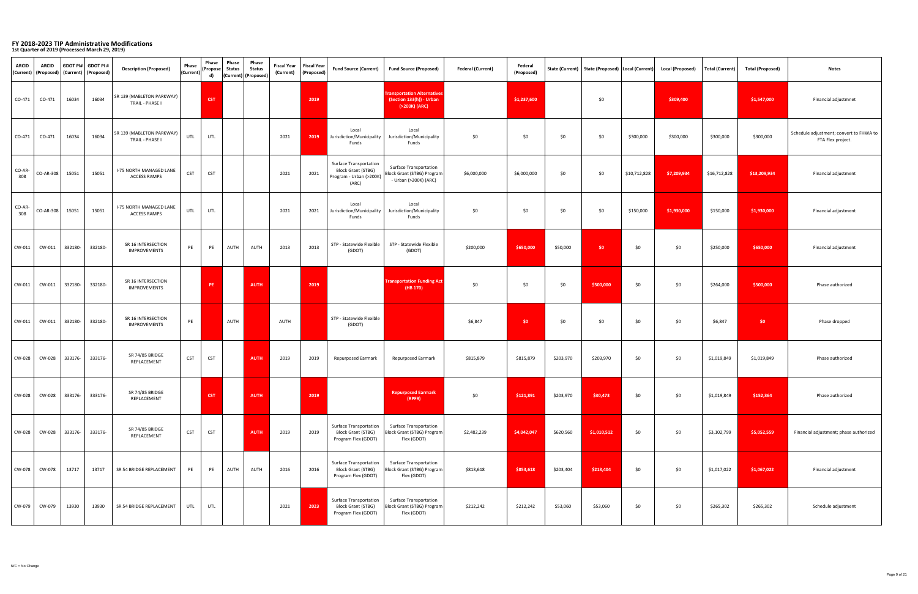| <b>ARCID</b>  | <b>ARCID</b><br>  (Current)   (Proposed) |         | $\vert$ GDOT PI# $\vert$ GDOT PI #<br>  (Current)   (Proposed) | <b>Description (Proposed)</b>                         | Phase<br>(Current) | Phase<br>$ $ (Propose $ $<br>d) | <b>Phase</b><br><b>Status</b> | <b>Phase</b><br><b>Status</b><br>(Current)   (Proposed) | (Current)   | Fiscal Year   Fiscal Year  <br>(Proposed) | <b>Fund Source (Current)</b>                                                                   | <b>Fund Source (Proposed)</b>                                                        | <b>Federal (Current)</b> | Federal<br>(Proposed) |           | State (Current)   State (Proposed)  Local (Current) |              | <b>Local (Proposed)</b> | <b>Total (Current)</b> | <b>Total (Proposed)</b> | <b>Notes</b>                                                   |
|---------------|------------------------------------------|---------|----------------------------------------------------------------|-------------------------------------------------------|--------------------|---------------------------------|-------------------------------|---------------------------------------------------------|-------------|-------------------------------------------|------------------------------------------------------------------------------------------------|--------------------------------------------------------------------------------------|--------------------------|-----------------------|-----------|-----------------------------------------------------|--------------|-------------------------|------------------------|-------------------------|----------------------------------------------------------------|
| $CO-471$      | $CO-471$                                 | 16034   | 16034                                                          | SR 139 (MABLETON PARKWAY)  <br>TRAIL - PHASE I        |                    | <b>CST</b>                      |                               |                                                         |             | 2019                                      |                                                                                                | <b>Transportation Alternatives</b><br>$(Section 133(h)) - Urban$<br>(>200K) (ARC)    |                          | \$1,237,600           |           | \$0                                                 |              | \$309,400               |                        | \$1,547,000             | Financial adjustmnet                                           |
| $CO-471$      | $CO-471$                                 | 16034   | 16034                                                          | SR 139 (MABLETON PARKWAY)<br>TRAIL - PHASE I          | UTL                | UTL                             |                               |                                                         | 2021        | 2019                                      | Local<br>Jurisdiction/Municipality<br>Funds                                                    | Local<br>Jurisdiction/Municipality<br>Funds                                          | \$0\$                    | \$0                   | \$0       | \$0                                                 | \$300,000    | \$300,000               | \$300,000              | \$300,000               | Schedule adjustment; convert to FHWA to  <br>FTA Flex project. |
| CO-AR-<br>308 | CO-AR-308                                | 15051   | 15051                                                          | <b>I-75 NORTH MANAGED LANE</b><br><b>ACCESS RAMPS</b> | <b>CST</b>         | <b>CST</b>                      |                               |                                                         | 2021        | 2021                                      | <b>Surface Transportation</b><br><b>Block Grant (STBG)</b><br>Program - Urban (>200K)<br>(ARC) | <b>Surface Transportation</b><br>Block Grant (STBG) Program<br>- Urban (>200K) (ARC) | \$6,000,000              | \$6,000,000           | \$0       | \$0                                                 | \$10,712,828 | \$7,209,934             | \$16,712,828           | \$13,209,934            | Financial adjustment                                           |
| CO-AR-<br>308 | CO-AR-308                                | 15051   | 15051                                                          | <b>I-75 NORTH MANAGED LANE</b><br><b>ACCESS RAMPS</b> | UTL                | <b>UTL</b>                      |                               |                                                         | 2021        | 2021                                      | Local<br>Jurisdiction/Municipality<br>Funds                                                    | Local<br>Jurisdiction/Municipality<br>Funds                                          | \$0                      | \$0                   | \$0       | \$0                                                 | \$150,000    | \$1,930,000             | \$150,000              | \$1,930,000             | Financial adjustment                                           |
| $CW-011$      | CW-011                                   | 332180- | 332180-                                                        | SR 16 INTERSECTION<br><b>IMPROVEMENTS</b>             | PE                 | PE                              | AUTH                          | AUTH                                                    | 2013        | 2013                                      | STP - Statewide Flexible<br>(GDOT)                                                             | STP - Statewide Flexible<br>(GDOT)                                                   | \$200,000                | \$650,000             | \$50,000  | \$0                                                 | \$0          | \$0                     | \$250,000              | \$650,000               | Financial adjustment                                           |
| $CW-011$      | CW-011                                   | 332180- | 332180-                                                        | SR 16 INTERSECTION<br><b>IMPROVEMENTS</b>             |                    | <b>PE</b>                       |                               | <b>AUTH</b>                                             |             | 2019                                      |                                                                                                | <b>Transportation Funding Act</b><br>(HB 170)                                        | \$0                      | \$0                   | \$0       | \$500,000                                           | \$0\$        | \$0                     | \$264,000              | \$500,000               | Phase authorized                                               |
| $CW-011$      | CW-011                                   | 332180- | 332180-                                                        | SR 16 INTERSECTION<br><b>IMPROVEMENTS</b>             | PE                 |                                 | <b>AUTH</b>                   |                                                         | <b>AUTH</b> |                                           | STP - Statewide Flexible<br>(GDOT)                                                             |                                                                                      | \$6,847                  | \$0                   | \$0       | \$0                                                 | \$0\$        | \$0                     | \$6,847                | \$0\$                   | Phase dropped                                                  |
| CW-028        | <b>CW-028</b>                            | 333176- | 333176-                                                        | SR 74/85 BRIDGE<br>REPLACEMENT                        | <b>CST</b>         | <b>CST</b>                      |                               | <b>AUTH</b>                                             | 2019        | 2019                                      | <b>Repurposed Earmark</b>                                                                      | <b>Repurposed Earmark</b>                                                            | \$815,879                | \$815,879             | \$203,970 | \$203,970                                           | \$0\$        | \$0                     | \$1,019,849            | \$1,019,849             | Phase authorized                                               |
| $CW-028$      | <b>CW-028</b>                            | 333176- | 333176-                                                        | SR 74/85 BRIDGE<br>REPLACEMENT                        |                    | <b>CST</b>                      |                               | <b>AUTH</b>                                             |             | 2019                                      |                                                                                                | <b>Repurposed Earmark</b><br>(RPF9)                                                  | \$0                      | \$121,891             | \$203,970 | \$30,473                                            | \$0          | \$0\$                   | \$1,019,849            | \$152,364               | Phase authorized                                               |
| $CW-028$      | <b>CW-028</b>                            | 333176- | 333176-                                                        | SR 74/85 BRIDGE<br>REPLACEMENT                        | <b>CST</b>         | <b>CST</b>                      |                               | <b>AUTH</b>                                             | 2019        | 2019                                      | <b>Surface Transportation</b><br><b>Block Grant (STBG)</b><br>Program Flex (GDOT)              | <b>Surface Transportation</b><br>Block Grant (STBG) Program<br>Flex (GDOT)           | \$2,482,239              | \$4,042,047           | \$620,560 | \$1,010,512                                         | \$0          | \$0\$                   | \$3,102,799            | \$5,052,559             | Financial adjustment; phase authorized                         |
| $CW-078$      | <b>CW-078</b>                            | 13717   | 13717                                                          | SR 54 BRIDGE REPLACEMENT                              | PE                 | <b>PE</b>                       | <b>AUTH</b>                   | AUTH                                                    | 2016        | 2016                                      | <b>Surface Transportation</b><br><b>Block Grant (STBG)</b><br>Program Flex (GDOT)              | <b>Surface Transportation</b><br>  Block Grant (STBG) Program  <br>Flex (GDOT)       | \$813,618                | \$853,618             | \$203,404 | \$213,404                                           | \$0          | \$0\$                   | \$1,017,022            | \$1,067,022             | Financial adjustment                                           |
| CW-079        | CW-079                                   | 13930   | 13930                                                          | SR 54 BRIDGE REPLACEMENT                              | UTL                | UTL                             |                               |                                                         | 2021        | 2023                                      | <b>Surface Transportation</b><br><b>Block Grant (STBG)</b><br>Program Flex (GDOT)              | <b>Surface Transportation</b><br>Block Grant (STBG) Program<br>Flex (GDOT)           | \$212,242                | \$212,242             | \$53,060  | \$53,060                                            | \$0\$        | \$0\$                   | \$265,302              | \$265,302               | Schedule adjustment                                            |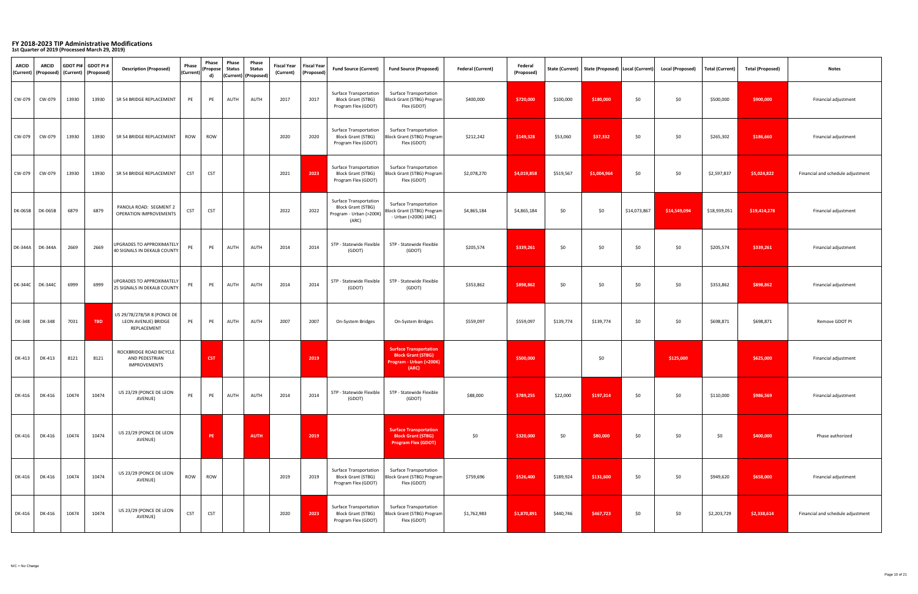| <b>ARCID</b>  | <b>ARCID</b><br>  (Current)   (Proposed) |       | <b>GDOT PI# GDOT PI#</b><br>  (Current)   (Proposed) | <b>Description (Proposed)</b>                                     | <b>Phase</b><br>(Current) | <b>Phase</b><br>(Propose<br>d) | <b>Phase</b><br><b>Status</b> | <b>Phase</b><br><b>Status</b><br>(Current)   (Proposed) | Fiscal Year   Fiscal Year  <br>(Current) | (Proposed) | <b>Fund Source (Current)</b>                                                                          | <b>Fund Source (Proposed)</b>                                                                            | <b>Federal (Current)</b> | <b>Federal</b><br>(Proposed) |           | State (Current)   State (Proposed)   Local (Current) |              | <b>Local (Proposed)</b> | Total (Current) | <b>Total (Proposed)</b> | <b>Notes</b>                      |
|---------------|------------------------------------------|-------|------------------------------------------------------|-------------------------------------------------------------------|---------------------------|--------------------------------|-------------------------------|---------------------------------------------------------|------------------------------------------|------------|-------------------------------------------------------------------------------------------------------|----------------------------------------------------------------------------------------------------------|--------------------------|------------------------------|-----------|------------------------------------------------------|--------------|-------------------------|-----------------|-------------------------|-----------------------------------|
| CW-079        | CW-079                                   | 13930 | 13930                                                | SR 54 BRIDGE REPLACEMENT                                          | PE                        | PE                             | <b>AUTH</b>                   | AUTH                                                    | 2017                                     | 2017       | <b>Surface Transportation</b><br><b>Block Grant (STBG)</b><br>Program Flex (GDOT)                     | <b>Surface Transportation</b><br><b>Block Grant (STBG) Program!</b><br>Flex (GDOT)                       | \$400,000                | \$720,000                    | \$100,000 | \$180,000                                            | \$0\$        | \$0\$                   | \$500,000       | \$900,000               | Financial adjustment              |
| CW-079        | CW-079                                   | 13930 | 13930                                                | SR 54 BRIDGE REPLACEMENT                                          | <b>ROW</b>                | <b>ROW</b>                     |                               |                                                         | 2020                                     | 2020       | <b>Surface Transportation</b><br><b>Block Grant (STBG)</b><br>Program Flex (GDOT)                     | <b>Surface Transportation</b><br><b>Block Grant (STBG) Program</b><br>Flex (GDOT)                        | \$212,242                | \$149,328                    | \$53,060  | \$37,332                                             | \$0          | \$0\$                   | \$265,302       | \$186,660               | Financial adjustment              |
| CW-079        | CW-079                                   | 13930 | 13930                                                | SR 54 BRIDGE REPLACEMENT                                          | <b>CST</b>                | <b>CST</b>                     |                               |                                                         | 2021                                     | 2023       | <b>Surface Transportation</b><br><b>Block Grant (STBG)</b><br>Program Flex (GDOT)                     | <b>Surface Transportation</b><br><b>Block Grant (STBG) Program</b><br>Flex (GDOT)                        | \$2,078,270              | \$4,019,858                  | \$519,567 | \$1,004,964                                          | \$0\$        | \$0\$                   | \$2,597,837     | \$5,024,822             | Financial and schedule adjustment |
|               | DK-065B   DK-065B                        | 6879  | 6879                                                 | PANOLA ROAD: SEGMENT 2<br>OPERATION IMPROVEMENTS                  | <b>CST</b>                | <b>CST</b>                     |                               |                                                         | 2022                                     | 2022       | <b>Surface Transportation</b><br><b>Block Grant (STBG)</b><br>Program - Urban (>200K) $\mid$<br>(ARC) | <b>Surface Transportation</b><br><b>Block Grant (STBG) Program</b><br>- Urban (>200K) (ARC)              | \$4,865,184              | \$4,865,184                  | \$0\$     | \$0                                                  | \$14,073,867 | \$14,549,094            | \$18,939,051    | \$19,414,278            | Financial adjustment              |
|               | $\vert$ DK-344A $\vert$ DK-344A          | 2669  | 2669                                                 | <b>UPGRADES TO APPROXIMATELY</b><br>40 SIGNALS IN DEKALB COUNTY   | PE                        | PE                             | <b>AUTH</b>                   | AUTH                                                    | 2014                                     | 2014       | STP - Statewide Flexible<br>(GDOT)                                                                    | STP - Statewide Flexible<br>(GDOT)                                                                       | \$205,574                | \$339,261                    | \$0       | \$0                                                  | \$0\$        | \$0\$                   | \$205,574       | \$339,261               | Financial adjustment              |
| $NK-344C$     | <b>DK-344C</b>                           | 6999  | 6999                                                 | UPGRADES TO APPROXIMATELY<br>25 SIGNALS IN DEKALB COUNTY          | PE                        | PE                             | <b>AUTH</b>                   | <b>AUTH</b>                                             | 2014                                     | 2014       | STP - Statewide Flexible<br>(GDOT)                                                                    | STP - Statewide Flexible<br>(GDOT)                                                                       | \$353,862                | \$898,862                    | \$0       | \$0                                                  | \$0\$        | \$0\$                   | \$353,862       | \$898,862               | Financial adjustment              |
| DK-348        | <b>DK-348</b>                            | 7031  | <b>TBD</b>                                           | US 29/78/278/SR 8 (PONCE DE<br>LEON AVENUE) BRIDGE<br>REPLACEMENT | PE                        | PE                             | <b>AUTH</b>                   | AUTH                                                    | 2007                                     | 2007       | On-System Bridges                                                                                     | On-System Bridges                                                                                        | \$559,097                | \$559,097                    | \$139,774 | \$139,774                                            | \$0          | \$0                     | \$698,871       | \$698,871               | Remove GDOT PI                    |
| DK-413        | <b>DK-413</b>                            | 8121  | 8121                                                 | ROCKBRIDGE ROAD BICYCLE<br>AND PEDESTRIAN<br><b>IMPROVEMENTS</b>  |                           | <b>CST</b>                     |                               |                                                         |                                          | 2019       |                                                                                                       | <b>Surface Transportation</b><br><b>Block Grant (STBG)</b><br><b>Program - Urban (&gt;200K)</b><br>(ARC) |                          | \$500,000                    |           | \$0                                                  |              | \$125,000               |                 | \$625,000               | Financial adjustment              |
| <b>DK-416</b> | DK-416                                   | 10474 | 10474                                                | US 23/29 (PONCE DE LEON<br>AVENUE)                                | PE                        | PE                             | <b>AUTH</b>                   | AUTH                                                    | 2014                                     | 2014       | STP - Statewide Flexible<br>(GDOT)                                                                    | STP - Statewide Flexible<br>(GDOT)                                                                       | \$88,000                 | \$789,255                    | \$22,000  | \$197,314                                            | \$0          | \$0                     | \$110,000       | \$986,569               | Financial adjustment              |
| DK-416        | <b>DK-416</b>                            | 10474 | 10474                                                | US 23/29 (PONCE DE LEON<br>AVENUE)                                |                           | <b>PE</b>                      |                               | <b>AUTH</b>                                             |                                          | 2019       |                                                                                                       | <b>Surface Transportation</b><br><b>Block Grant (STBG)</b><br><b>Program Flex (GDOT)</b>                 | \$0                      | \$320,000                    | \$0       | \$80,000                                             | \$0\$        | \$0                     | \$0             | \$400,000               | Phase authorized                  |
| <b>DK-416</b> | DK-416                                   | 10474 | 10474                                                | US 23/29 (PONCE DE LEON<br>AVENUE)                                | <b>ROW</b>                | <b>ROW</b>                     |                               |                                                         | 2019                                     | 2019       | <b>Surface Transportation</b><br><b>Block Grant (STBG)</b><br>Program Flex (GDOT)                     | <b>Surface Transportation</b><br><b>Block Grant (STBG) Program</b><br>Flex (GDOT)                        | \$759,696                | \$526,400                    | \$189,924 | \$131,600                                            | \$0          | \$0\$                   | \$949,620       | \$658,000               | Financial adjustment              |
| DK-416        | <b>DK-416</b>                            | 10474 | 10474                                                | US 23/29 (PONCE DE LEON<br>AVENUE)                                | <b>CST</b>                | <b>CST</b>                     |                               |                                                         | 2020                                     | 2023       | <b>Surface Transportation</b><br><b>Block Grant (STBG)</b><br>Program Flex (GDOT)                     | <b>Surface Transportation</b><br>Block Grant (STBG) Program<br>Flex (GDOT)                               | \$1,762,983              | \$1,870,891                  | \$440,746 | \$467,723                                            | \$0\$        | \$0\$                   | \$2,203,729     | \$2,338,614             | Financial and schedule adjustment |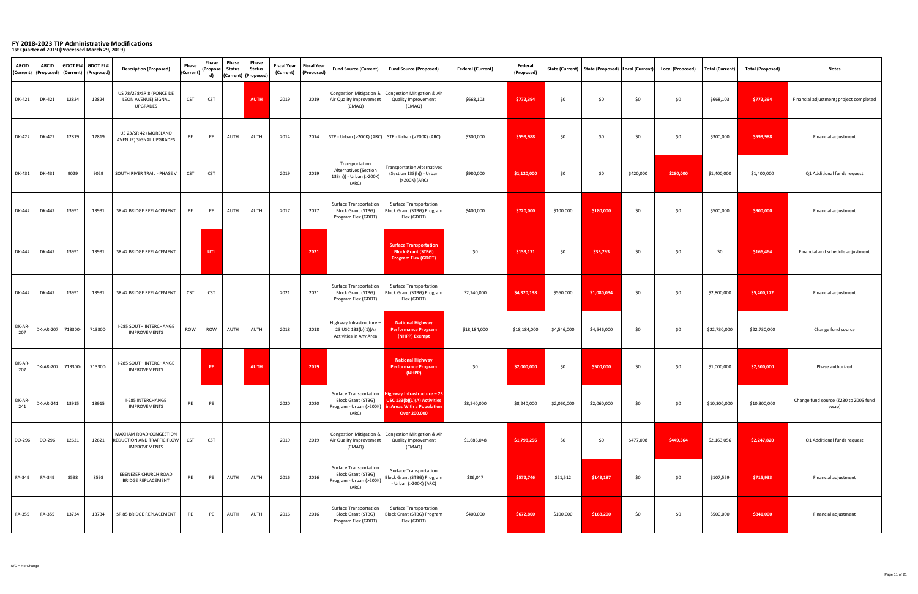| <b>ARCID</b>  | <b>ARCID</b><br>  (Current)   (Proposed) |         | $\mid$ GDOT PI# $\mid$ GDOT PI #<br>  (Current)   (Proposed) | <b>Description (Proposed)</b>                                                      | <b>Phase</b><br>(Current) | <b>Phase</b><br>$ $ (Propose $ $<br>d) | <b>Phase</b><br><b>Status</b><br>(Current) | <b>Phase</b><br><b>Status</b><br>(Proposed) | Fiscal Year   Fiscal Year  <br>(Current) | (Proposed) | <b>Fund Source (Current)</b>                                                                   | <b>Fund Source (Proposed)</b>                                                                                                                                                     | <b>Federal (Current)</b> | <b>Federal</b><br>(Proposed) |             | State (Current)   State (Proposed)   Local (Current) |           | <b>Local (Proposed)</b> | Total (Current) | <b>Total (Proposed)</b> | <b>Notes</b>                                   |
|---------------|------------------------------------------|---------|--------------------------------------------------------------|------------------------------------------------------------------------------------|---------------------------|----------------------------------------|--------------------------------------------|---------------------------------------------|------------------------------------------|------------|------------------------------------------------------------------------------------------------|-----------------------------------------------------------------------------------------------------------------------------------------------------------------------------------|--------------------------|------------------------------|-------------|------------------------------------------------------|-----------|-------------------------|-----------------|-------------------------|------------------------------------------------|
| <b>DK-421</b> | <b>DK-421</b>                            | 12824   | 12824                                                        | US 78/278/SR 8 (PONCE DE<br>LEON AVENUE) SIGNAL<br><b>UPGRADES</b>                 | <b>CST</b>                | <b>CST</b>                             |                                            | <b>AUTH</b>                                 | 2019                                     | 2019       | Air Quality Improvement<br>(CMAQ)                                                              | Congestion Mitigation &   Congestion Mitigation & Air<br><b>Quality Improvement</b><br>(CMAQ)                                                                                     | \$668,103                | \$772,394                    | \$0         | \$0\$                                                | \$0       | \$0                     | \$668,103       | \$772,394               | Financial adjustment; project completed        |
| <b>DK-422</b> | <b>DK-422</b>                            | 12819   | 12819                                                        | US 23/SR 42 (MORELAND<br>AVENUE) SIGNAL UPGRADES                                   | PE                        | PE                                     | <b>AUTH</b>                                | AUTH                                        | 2014                                     | 2014       |                                                                                                | STP - Urban (>200K) (ARC)   STP - Urban (>200K) (ARC)                                                                                                                             | \$300,000                | \$599,988                    | \$0\$       | \$0\$                                                | \$0       | \$0                     | \$300,000       | \$599,988               | Financial adjustment                           |
| <b>DK-431</b> | <b>DK-431</b>                            | 9029    | 9029                                                         | SOUTH RIVER TRAIL - PHASE V                                                        | <b>CST</b>                | <b>CST</b>                             |                                            |                                             | 2019                                     | 2019       | Transportation<br><b>Alternatives (Section</b><br>133(h)) - Urban (>200K)<br>(ARC)             | <b>Transportation Alternatives</b><br>(Section 133(h)) - Urban<br>(>200K) (ARC)                                                                                                   | \$980,000                | \$1,120,000                  | \$0         | \$0                                                  | \$420,000 | \$280,000               | \$1,400,000     | \$1,400,000             | Q1 Additional funds request                    |
| <b>DK-442</b> | <b>DK-442</b>                            | 13991   | 13991                                                        | SR 42 BRIDGE REPLACEMENT                                                           | PE                        | PE                                     | <b>AUTH</b>                                | <b>AUTH</b>                                 | 2017                                     | 2017       | <b>Surface Transportation</b><br><b>Block Grant (STBG)</b><br>Program Flex (GDOT)              | <b>Surface Transportation</b><br><b>Block Grant (STBG) Program</b><br>Flex (GDOT)                                                                                                 | \$400,000                | \$720,000                    | \$100,000   | \$180,000                                            | \$0       | \$0                     | \$500,000       | \$900,000               | Financial adjustment                           |
| DK-442        | <b>DK-442</b>                            | 13991   | 13991                                                        | SR 42 BRIDGE REPLACEMENT                                                           |                           | <b>UTL</b>                             |                                            |                                             |                                          | 2021       |                                                                                                | <b>Surface Transportation</b><br><b>Block Grant (STBG)</b><br><b>Program Flex (GDOT)</b>                                                                                          | \$0                      | \$133,171                    | \$0         | \$33,293                                             | \$0       | \$0                     | \$0             | \$166,464               | Financial and schedule adjustment              |
| <b>DK-442</b> | <b>DK-442</b>                            | 13991   | 13991                                                        | SR 42 BRIDGE REPLACEMENT                                                           | <b>CST</b>                | <b>CST</b>                             |                                            |                                             | 2021                                     | 2021       | <b>Surface Transportation</b><br><b>Block Grant (STBG)</b><br>Program Flex (GDOT)              | <b>Surface Transportation</b><br><b>Block Grant (STBG) Program</b><br>Flex (GDOT)                                                                                                 | \$2,240,000              | \$4,320,138                  | \$560,000   | \$1,080,034                                          | \$0       | \$0                     | \$2,800,000     | \$5,400,172             | Financial adjustment                           |
| DK-AR-<br>207 | <b>DK-AR-207</b>                         | 713300- | 713300-                                                      | <b>I-285 SOUTH INTERCHANGE</b><br><b>IMPROVEMENTS</b>                              | <b>ROW</b>                | ROW                                    | <b>AUTH</b>                                | AUTH                                        | 2018                                     | 2018       | Highway Infrastructure -<br>23 USC 133(b)(1)(A)<br><b>Activities in Any Area</b>               | <b>National Highway</b><br><b>Performance Program</b><br>(NHPP) Exempt                                                                                                            | \$18,184,000             | \$18,184,000                 | \$4,546,000 | \$4,546,000                                          | \$0       | \$0\$                   | \$22,730,000    | \$22,730,000            | Change fund source                             |
| DK-AR-<br>207 | DK-AR-207                                | 713300- | 713300-                                                      | <b>I-285 SOUTH INTERCHANGE</b><br><b>IMPROVEMENTS</b>                              |                           | <b>PE</b>                              |                                            | <b>AUTH</b>                                 |                                          | 2019       |                                                                                                | <b>National Highway</b><br><b>Performance Program</b><br>(NHPP)                                                                                                                   | \$0                      | \$2,000,000                  | \$0         | \$500,000                                            | \$0       | \$0                     | \$1,000,000     | \$2,500,000             | Phase authorized                               |
| DK-AR-<br>241 | <b>DK-AR-241</b>                         | 13915   | 13915                                                        | <b>I-285 INTERCHANGE</b><br><b>IMPROVEMENTS</b>                                    | PE                        | PE                                     |                                            |                                             | 2020                                     | 2020       | (ARC)                                                                                          | Surface Transportation Highway Infrastructure - 23<br>Block Grant (STBG) USC 133(b)(1)(A) Activities<br>Program - Urban (>200K) in Areas With a Population<br><b>Over 200,000</b> | \$8,240,000              | \$8,240,000                  | \$2,060,000 | \$2,060,000                                          | \$0       | \$0                     | \$10,300,000    | \$10,300,000            | Change fund source (Z230 to Z005 fund<br>swap) |
| DO-296        | DO-296                                   | 12621   | 12621                                                        | MAXHAM ROAD CONGESTION<br><b>REDUCTION AND TRAFFIC FLOW</b><br><b>IMPROVEMENTS</b> | <b>CST</b>                | <b>CST</b>                             |                                            |                                             | 2019                                     | 2019       | Air Quality Improvement<br>(CMAQ)                                                              | Congestion Mitigation &   Congestion Mitigation & Air<br><b>Quality Improvement</b><br>(CMAQ)                                                                                     | \$1,686,048              | \$1,798,256                  | \$0\$       | \$0                                                  | \$477,008 | \$449,564               | \$2,163,056     | \$2,247,820             | Q1 Additional funds request                    |
| FA-349        | FA-349                                   | 8598    | 8598                                                         | <b>EBENEZER CHURCH ROAD</b><br><b>BRIDGE REPLACEMENT</b>                           | PE                        | PE                                     | AUTH                                       | AUTH                                        | 2016                                     | 2016       | <b>Surface Transportation</b><br><b>Block Grant (STBG)</b><br>Program - Urban (>200K)<br>(ARC) | <b>Surface Transportation</b><br><b>Block Grant (STBG) Program</b><br>- Urban (>200K) (ARC)                                                                                       | \$86,047                 | \$572,746                    | \$21,512    | \$143,187                                            | \$0       | \$0                     | \$107,559       | \$715,933               | Financial adjustment                           |
| <b>FA-355</b> | FA-355                                   | 13734   | 13734                                                        | SR 85 BRIDGE REPLACEMENT                                                           | PE                        | PE                                     | AUTH                                       | AUTH                                        | 2016                                     | 2016       | <b>Surface Transportation</b><br><b>Block Grant (STBG)</b><br>Program Flex (GDOT)              | <b>Surface Transportation</b><br><b>Block Grant (STBG) Program</b><br>Flex (GDOT)                                                                                                 | \$400,000                | \$672,800                    | \$100,000   | \$168,200                                            | \$0       | \$0\$                   | \$500,000       | \$841,000               | Financial adjustment                           |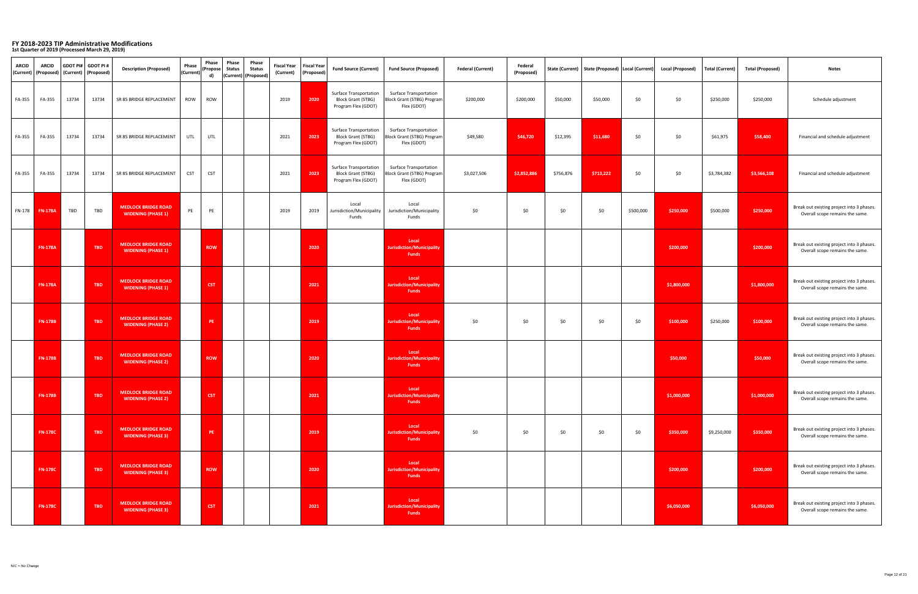| <b>ARCID</b> | <b>ARCID</b><br>  (Current)   (Proposed) |            | GDOT PI# GDOT PI#<br>  (Current)   (Proposed) | <b>Description (Proposed)</b>                           | <b>Phase</b><br>(Current) | <b>Phase</b><br>(Propose<br>d) | <b>Phase</b><br><b>Status</b> | <b>Phase</b><br><b>Status</b><br>(Current)   (Proposed) | <b>Fiscal Year</b><br>(Current) | <b>Fiscal Year</b><br>(Proposed) | <b>Fund Source (Current)</b>                                                      | <b>Fund Source (Proposed)</b>                                                     | <b>Federal (Current)</b> | Federal<br>(Proposed) |           | State (Current)   State (Proposed)   Local (Current) |           | <b>Local (Proposed)</b> | <b>Total (Current)</b> | <b>Total (Proposed)</b> | <b>Notes</b>                                                                 |
|--------------|------------------------------------------|------------|-----------------------------------------------|---------------------------------------------------------|---------------------------|--------------------------------|-------------------------------|---------------------------------------------------------|---------------------------------|----------------------------------|-----------------------------------------------------------------------------------|-----------------------------------------------------------------------------------|--------------------------|-----------------------|-----------|------------------------------------------------------|-----------|-------------------------|------------------------|-------------------------|------------------------------------------------------------------------------|
| FA-355       | FA-355                                   | 13734      | 13734                                         | SR 85 BRIDGE REPLACEMENT                                | <b>ROW</b>                | <b>ROW</b>                     |                               |                                                         | 2019                            | 2020                             | <b>Surface Transportation</b><br><b>Block Grant (STBG)</b><br>Program Flex (GDOT) | <b>Surface Transportation</b><br><b>Block Grant (STBG) Program</b><br>Flex (GDOT) | \$200,000                | \$200,000             | \$50,000  | \$50,000                                             | \$0       | \$0                     | \$250,000              | \$250,000               | Schedule adjustment                                                          |
| FA-355       | FA-355                                   | 13734      | 13734                                         | SR 85 BRIDGE REPLACEMENT                                | <b>UTL</b>                | UTL                            |                               |                                                         | 2021                            | 2023                             | <b>Surface Transportation</b><br><b>Block Grant (STBG)</b><br>Program Flex (GDOT) | <b>Surface Transportation</b><br>Block Grant (STBG) Program<br>Flex (GDOT)        | \$49,580                 | \$46,720              | \$12,395  | \$11,680                                             | \$0       | \$0                     | \$61,975               | \$58,400                | Financial and schedule adjustment                                            |
| FA-355       | FA-355                                   | 13734      | 13734                                         | SR 85 BRIDGE REPLACEMENT                                | <b>CST</b>                | <b>CST</b>                     |                               |                                                         | 2021                            | 2023                             | <b>Surface Transportation</b><br><b>Block Grant (STBG)</b><br>Program Flex (GDOT) | <b>Surface Transportation</b><br><b>Block Grant (STBG) Program</b><br>Flex (GDOT) | \$3,027,506              | \$2,852,886           | \$756,876 | \$713,222                                            | \$0       | \$0                     | \$3,784,382            | \$3,566,108             | Financial and schedule adjustment                                            |
|              |                                          | <b>TBD</b> | <b>TBD</b>                                    | <b>MEDLOCK BRIDGE ROAD</b><br><b>WIDENING (PHASE 1)</b> | PE                        | PE                             |                               |                                                         | 2019                            | 2019                             | Local<br>Jurisdiction/Municipality<br>Funds                                       | Local<br>Jurisdiction/Municipality<br>Funds                                       | \$0                      | \$0\$                 | \$0       | \$0\$                                                | \$500,000 | \$250,000               | \$500,000              | \$250,000               | Break out existing project into 3 phases.<br>Overall scope remains the same. |
|              | <b>FN-178A</b>                           |            | <b>TBD</b>                                    | <b>MEDLOCK BRIDGE ROAD</b><br><b>WIDENING (PHASE 1)</b> |                           | <b>ROW</b>                     |                               |                                                         |                                 | 2020                             |                                                                                   | Local<br>Jurisdiction/Municipality<br><b>Funds</b>                                |                          |                       |           |                                                      |           | \$200,000               |                        | \$200,000               | Break out existing project into 3 phases.<br>Overall scope remains the same. |
|              | <b>FN-178A</b>                           |            | <b>TBD</b>                                    | <b>MEDLOCK BRIDGE ROAD</b><br><b>WIDENING (PHASE 1)</b> |                           | <b>CST</b>                     |                               |                                                         |                                 | 2021                             |                                                                                   | Local<br>Jurisdiction/Municipality<br><b>Funds</b>                                |                          |                       |           |                                                      |           | \$1,800,000             |                        | \$1,800,000             | Break out existing project into 3 phases.<br>Overall scope remains the same. |
|              | <b>FN-178B</b>                           |            | <b>TBD</b>                                    | <b>MEDLOCK BRIDGE ROAD</b><br><b>WIDENING (PHASE 2)</b> |                           | <b>PE</b>                      |                               |                                                         |                                 | 2019                             |                                                                                   | Local<br>Jurisdiction/Municipality<br><b>Funds</b>                                | \$0                      | \$0                   | \$0\$     | \$0                                                  | \$0       | \$100,000               | \$250,000              | \$100,000               | Break out existing project into 3 phases.<br>Overall scope remains the same. |
|              | <b>FN-178B</b>                           |            | <b>TBD</b>                                    | <b>MEDLOCK BRIDGE ROAD</b><br><b>WIDENING (PHASE 2)</b> |                           | <b>ROW</b>                     |                               |                                                         |                                 | 2020                             |                                                                                   | Local<br>Jurisdiction/Municipality<br><b>Funds</b>                                |                          |                       |           |                                                      |           | \$50,000                |                        | \$50,000                | Break out existing project into 3 phases.<br>Overall scope remains the same. |
|              | <b>FN-178B</b>                           |            | <b>TBD</b>                                    | <b>MEDLOCK BRIDGE ROAD</b><br><b>WIDENING (PHASE 2)</b> |                           | <b>CST</b>                     |                               |                                                         |                                 | 2021                             |                                                                                   | Local<br>Jurisdiction/Municipality<br><b>Funds</b>                                |                          |                       |           |                                                      |           | \$1,000,000             |                        | \$1,000,000             | Break out existing project into 3 phases.<br>Overall scope remains the same. |
|              | <b>FN-178C</b>                           |            | <b>TBD</b>                                    | <b>MEDLOCK BRIDGE ROAD</b><br><b>WIDENING (PHASE 3)</b> |                           | <b>PE</b>                      |                               |                                                         |                                 | 2019                             |                                                                                   | Local<br>Jurisdiction/Municipality<br><b>Funds</b>                                | \$0                      | \$0                   | \$0\$     | \$0                                                  | \$0       | \$350,000               | \$9,250,000            | \$350,000               | Break out existing project into 3 phases.<br>Overall scope remains the same. |
|              | <b>FN-178C</b>                           |            | <b>TBD</b>                                    | <b>MEDLOCK BRIDGE ROAD</b><br><b>WIDENING (PHASE 3)</b> |                           | <b>ROW</b>                     |                               |                                                         |                                 | 2020                             |                                                                                   | Local<br>Jurisdiction/Municipality<br><b>Funds</b>                                |                          |                       |           |                                                      |           | \$200,000               |                        | \$200,000               | Break out existing project into 3 phases.<br>Overall scope remains the same. |
|              | <b>FN-178C</b>                           |            | <b>TBD</b>                                    | <b>MEDLOCK BRIDGE ROAD</b><br><b>WIDENING (PHASE 3)</b> |                           | <b>CST</b>                     |                               |                                                         |                                 | 2021                             |                                                                                   | Local<br>Jurisdiction/Municipality<br><b>Funds</b>                                |                          |                       |           |                                                      |           | \$6,050,000             |                        | \$6,050,000             | Break out existing project into 3 phases.<br>Overall scope remains the same. |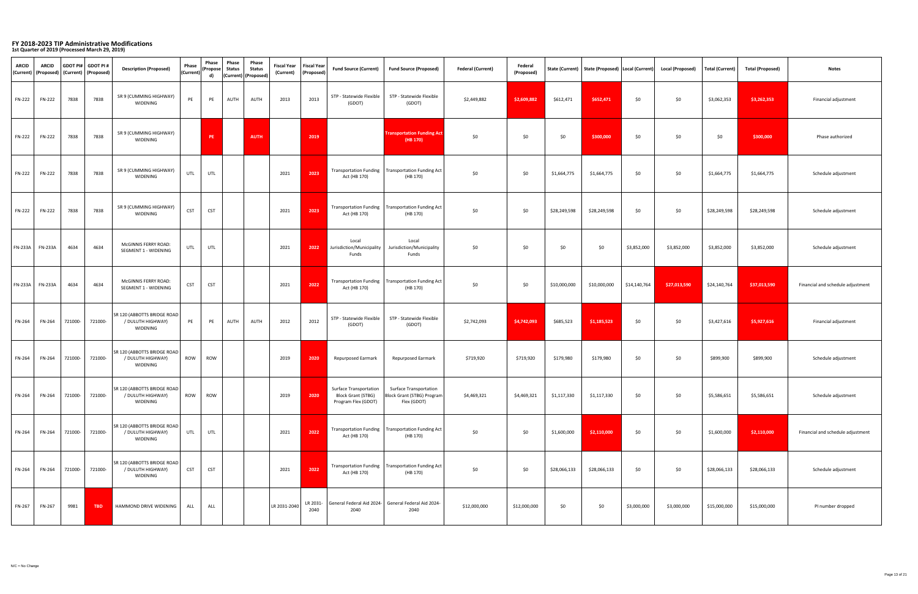| <b>ARCID</b>  | <b>ARCID</b><br>  (Current)   (Proposed) | (Current) | GDOT PI# GDOT PI#<br>(Proposed) | <b>Description (Proposed)</b>                                | <b>Phase</b><br>(Current) | <b>Phase</b><br>(Propose<br>d) | <b>Phase</b><br><b>Status</b> | <b>Phase</b><br><b>Status</b><br>(Current)   (Proposed) | Fiscal Year   Fiscal Year  <br>(Current) | (Proposed)       | <b>Fund Source (Current)</b>                                                      | <b>Fund Source (Proposed)</b>                                              | <b>Federal (Current)</b> | Federal<br>(Proposed) |              | State (Current)   State (Proposed)   Local (Current) |              | <b>Local (Proposed)</b> | <b>Total (Current)</b> | <b>Total (Proposed)</b> | <b>Notes</b>                      |
|---------------|------------------------------------------|-----------|---------------------------------|--------------------------------------------------------------|---------------------------|--------------------------------|-------------------------------|---------------------------------------------------------|------------------------------------------|------------------|-----------------------------------------------------------------------------------|----------------------------------------------------------------------------|--------------------------|-----------------------|--------------|------------------------------------------------------|--------------|-------------------------|------------------------|-------------------------|-----------------------------------|
| $FN-222$      | <b>FN-222</b>                            | 7838      | 7838                            | SR 9 (CUMMING HIGHWAY)<br>WIDENING                           | PE                        | PE                             | AUTH                          | <b>AUTH</b>                                             | 2013                                     | 2013             | STP - Statewide Flexible<br>(GDOT)                                                | STP - Statewide Flexible<br>(GDOT)                                         | \$2,449,882              | \$2,609,882           | \$612,471    | \$652,471                                            | \$0          | \$0\$                   | \$3,062,353            | \$3,262,353             | Financial adjustment              |
| <b>FN-222</b> | <b>FN-222</b>                            | 7838      | 7838                            | SR 9 (CUMMING HIGHWAY)<br>WIDENING                           |                           | <b>PE</b>                      |                               | <b>AUTH</b>                                             |                                          | 2019             |                                                                                   | <b>Transportation Funding Act</b><br>(HB 170)                              | \$0                      | \$0                   | \$0          | \$300,000                                            | \$0          | \$0\$                   | \$0                    | \$300,000               | Phase authorized                  |
| <b>FN-222</b> | <b>FN-222</b>                            | 7838      | 7838                            | SR 9 (CUMMING HIGHWAY)<br>WIDENING                           | UTL                       | UTL                            |                               |                                                         | 2021                                     | 2023             | Act (HB 170)                                                                      | Transportation Funding   Transportation Funding Act<br>(HB 170)            | \$0                      | \$0                   | \$1,664,775  | \$1,664,775                                          | \$0\$        | \$0\$                   | \$1,664,775            | \$1,664,775             | Schedule adjustment               |
| $FN-222$      | <b>FN-222</b>                            | 7838      | 7838                            | SR 9 (CUMMING HIGHWAY)<br>WIDENING                           | <b>CST</b>                | <b>CST</b>                     |                               |                                                         | 2021                                     | 2023             | Act (HB 170)                                                                      | Transportation Funding   Transportation Funding Act<br>(HB 170)            | \$0                      | \$0                   | \$28,249,598 | \$28,249,598                                         | \$0          | \$0\$                   | \$28,249,598           | \$28,249,598            | Schedule adjustment               |
|               | FN-233A   FN-233A                        | 4634      | 4634                            | McGINNIS FERRY ROAD:<br>SEGMENT 1 - WIDENING                 | <b>UTL</b>                | <b>UTL</b>                     |                               |                                                         | 2021                                     | 2022             | Local<br>Jurisdiction/Municipality<br>Funds                                       | Local<br>Jurisdiction/Municipality<br>Funds                                | \$0                      | \$0\$                 | \$0          | \$0                                                  | \$3,852,000  | \$3,852,000             | \$3,852,000            | \$3,852,000             | Schedule adjustment               |
|               | FN-233A   FN-233A                        | 4634      | 4634                            | McGINNIS FERRY ROAD:<br>SEGMENT 1 - WIDENING                 | <b>CST</b>                | <b>CST</b>                     |                               |                                                         | 2021                                     | 2022             | Act (HB 170)                                                                      | Transportation Funding   Transportation Funding Act<br>(HB 170)            | \$0                      | \$0                   | \$10,000,000 | \$10,000,000                                         | \$14,140,764 | \$27,013,590            | \$24,140,764           | \$37,013,590            | Financial and schedule adjustment |
| $FN-264$      | <b>FN-264</b>                            | 721000-   | 721000-                         | SR 120 (ABBOTTS BRIDGE ROAD<br>/ DULUTH HIGHWAY)<br>WIDENING | PE                        | PE                             | AUTH                          | AUTH                                                    | 2012                                     | 2012             | STP - Statewide Flexible<br>(GDOT)                                                | STP - Statewide Flexible<br>(GDOT)                                         | \$2,742,093              | \$4,742,093           | \$685,523    | \$1,185,523                                          | \$0          | \$0\$                   | \$3,427,616            | \$5,927,616             | Financial adjustment              |
| <b>FN-264</b> | FN-264                                   | 721000-   | 721000-                         | SR 120 (ABBOTTS BRIDGE ROAD<br>/ DULUTH HIGHWAY)<br>WIDENING | <b>ROW</b>                | <b>ROW</b>                     |                               |                                                         | 2019                                     | 2020             | <b>Repurposed Earmark</b>                                                         | <b>Repurposed Earmark</b>                                                  | \$719,920                | \$719,920             | \$179,980    | \$179,980                                            | \$0          | \$0\$                   | \$899,900              | \$899,900               | Schedule adjustment               |
| <b>FN-264</b> | <b>FN-264</b>                            | 721000-   | 721000-                         | SR 120 (ABBOTTS BRIDGE ROAD<br>/ DULUTH HIGHWAY)<br>WIDENING | <b>ROW</b>                | <b>ROW</b>                     |                               |                                                         | 2019                                     | 2020             | <b>Surface Transportation</b><br><b>Block Grant (STBG)</b><br>Program Flex (GDOT) | <b>Surface Transportation</b><br>Block Grant (STBG) Program<br>Flex (GDOT) | \$4,469,321              | \$4,469,321           | \$1,117,330  | \$1,117,330                                          | \$0          | \$0\$                   | \$5,586,651            | \$5,586,651             | Schedule adjustment               |
| <b>FN-264</b> | <b>FN-264</b>                            | 721000-   | 721000-                         | SR 120 (ABBOTTS BRIDGE ROAD<br>/ DULUTH HIGHWAY)<br>WIDENING | <b>UTL</b>                | UTL                            |                               |                                                         | 2021                                     | 2022             | Act (HB 170)                                                                      | Transportation Funding   Transportation Funding Act<br>(HB 170)            | \$0                      | \$0                   | \$1,600,000  | \$2,110,000                                          | \$0\$        | \$0\$                   | \$1,600,000            | \$2,110,000             | Financial and schedule adjustment |
| <b>FN-264</b> | <b>FN-264</b>                            | 721000-   | 721000-                         | SR 120 (ABBOTTS BRIDGE ROAD<br>/ DULUTH HIGHWAY)<br>WIDENING | <b>CST</b>                | <b>CST</b>                     |                               |                                                         | 2021                                     | 2022             | Act (HB 170)                                                                      | Transportation Funding   Transportation Funding Act  <br>(HB 170)          | \$0                      | \$0                   | \$28,066,133 | \$28,066,133                                         | \$0\$        | \$0\$                   | \$28,066,133           | \$28,066,133            | Schedule adjustment               |
| <b>FN-267</b> | <b>FN-267</b>                            | 9981      | <b>TBD</b>                      | HAMMOND DRIVE WIDENING                                       | <b>ALL</b>                | ALL                            |                               |                                                         | LR 2031-2040                             | LR 2031-<br>2040 | 2040                                                                              | General Federal Aid 2024-   General Federal Aid 2024-<br>2040              | \$12,000,000             | \$12,000,000          | \$0          | \$0                                                  | \$3,000,000  | \$3,000,000             | \$15,000,000           | \$15,000,000            | PI number dropped                 |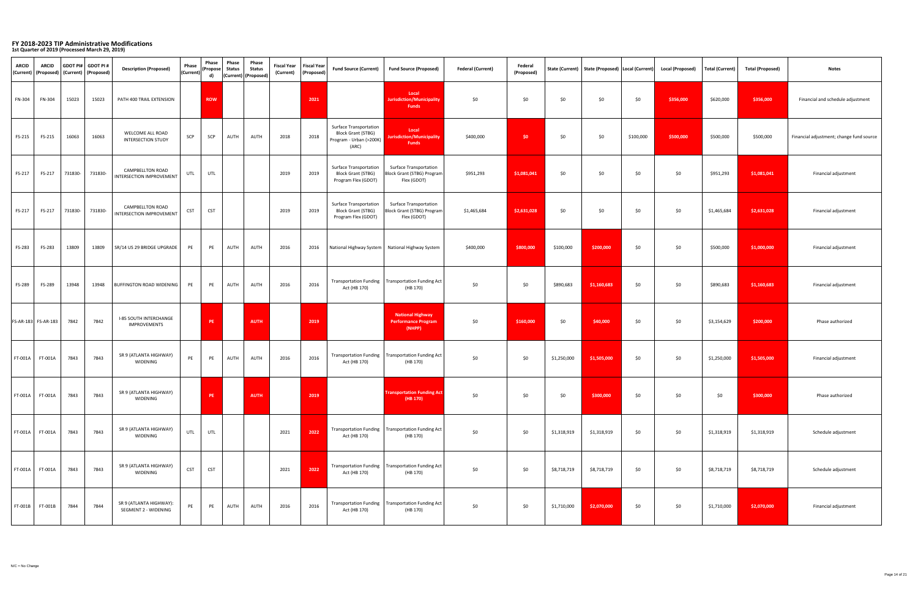| <b>ARCID</b>  | <b>ARCID</b><br>  (Current)   (Proposed) |         | $ $ GDOT PI# $ $ GDOT PI #<br>  (Current)   (Proposed) | <b>Description (Proposed)</b>                          | <b>Phase</b><br>(Current) | <b>Phase</b><br>$ $ (Propose $ $<br>d) | <b>Phase</b><br><b>Status</b> | <b>Phase</b><br><b>Status</b><br>(Current)   (Proposed) | Fiscal Year   Fiscal Year  <br>(Current) | (Proposed) | <b>Fund Source (Current)</b>                                                                   | <b>Fund Source (Proposed)</b>                                              | <b>Federal (Current)</b> | <b>Federal</b><br>(Proposed) |             | State (Current)   State (Proposed)   Local (Current) |           | <b>Local (Proposed)</b> | Total (Current) | <b>Total (Proposed)</b> | <b>Notes</b>                             |
|---------------|------------------------------------------|---------|--------------------------------------------------------|--------------------------------------------------------|---------------------------|----------------------------------------|-------------------------------|---------------------------------------------------------|------------------------------------------|------------|------------------------------------------------------------------------------------------------|----------------------------------------------------------------------------|--------------------------|------------------------------|-------------|------------------------------------------------------|-----------|-------------------------|-----------------|-------------------------|------------------------------------------|
| <b>FN-304</b> | <b>FN-304</b>                            | 15023   | 15023                                                  | PATH 400 TRAIL EXTENSION                               |                           | <b>ROW</b>                             |                               |                                                         |                                          | 2021       |                                                                                                | Local<br>Jurisdiction/Municipality<br><b>Funds</b>                         | \$0                      | \$0                          | \$0\$       | \$0                                                  | \$0       | \$356,000               | \$620,000       | \$356,000               | Financial and schedule adjustment        |
| FS-215        | FS-215                                   | 16063   | 16063                                                  | <b>WELCOME ALL ROAD</b><br><b>INTERSECTION STUDY</b>   | SCP                       | SCP                                    | <b>AUTH</b>                   | <b>AUTH</b>                                             | 2018                                     | 2018       | <b>Surface Transportation</b><br><b>Block Grant (STBG)</b><br>Program - Urban (>200K)<br>(ARC) | Local<br>Jurisdiction/Municipality<br><b>Funds</b>                         | \$400,000                | \$0                          | \$0\$       | \$0                                                  | \$100,000 | \$500,000               | \$500,000       | \$500,000               | Financial adjustment; change fund source |
| FS-217        | FS-217                                   | 731830- | 731830-                                                | <b>CAMPBELLTON ROAD</b><br>INTERSECTION IMPROVEMENT    | UTL                       | <b>UTL</b>                             |                               |                                                         | 2019                                     | 2019       | <b>Surface Transportation</b><br><b>Block Grant (STBG)</b><br>Program Flex (GDOT)              | <b>Surface Transportation</b><br>Block Grant (STBG) Program<br>Flex (GDOT) | \$951,293                | \$1,081,041                  | \$0         | \$0                                                  | \$0       | \$0                     | \$951,293       | \$1,081,041             | Financial adjustment                     |
| FS-217        | FS-217                                   | 731830- | 731830-                                                | <b>CAMPBELLTON ROAD</b><br>INTERSECTION IMPROVEMENT    | <b>CST</b>                | <b>CST</b>                             |                               |                                                         | 2019                                     | 2019       | <b>Surface Transportation</b><br><b>Block Grant (STBG)</b><br>Program Flex (GDOT)              | <b>Surface Transportation</b><br>Block Grant (STBG) Program<br>Flex (GDOT) | \$1,465,684              | \$2,631,028                  | \$0\$       | \$0                                                  | \$0       | \$0                     | \$1,465,684     | \$2,631,028             | Financial adjustment                     |
| FS-283        | <b>FS-283</b>                            | 13809   | 13809                                                  | SR/14 US 29 BRIDGE UPGRADE                             | PE                        | <b>PE</b>                              | <b>AUTH</b>                   | <b>AUTH</b>                                             | 2016                                     | 2016       |                                                                                                | National Highway System   National Highway System                          | \$400,000                | \$800,000                    | \$100,000   | \$200,000                                            | \$0       | \$0                     | \$500,000       | \$1,000,000             | Financial adjustment                     |
| FS-289        | FS-289                                   | 13948   | 13948                                                  | BUFFINGTON ROAD WIDENING                               | <b>PE</b>                 | PE                                     | <b>AUTH</b>                   | <b>AUTH</b>                                             | 2016                                     | 2016       | Act (HB 170)                                                                                   | Transportation Funding   Transportation Funding Act<br>(HB 170)            | \$0                      | \$0                          | \$890,683   | \$1,160,683                                          | \$0       | \$0\$                   | \$890,683       | \$1,160,683             | Financial adjustment                     |
|               | FS-AR-183  FS-AR-183                     | 7842    | 7842                                                   | <b>I-85 SOUTH INTERCHANGE</b><br><b>IMPROVEMENTS</b>   |                           | <b>PE</b>                              |                               | <b>AUTH</b>                                             |                                          | 2019       |                                                                                                | <b>National Highway</b><br><b>Performance Program</b><br>(NHPP)            | \$0                      | \$160,000                    | \$0         | \$40,000                                             | \$0       | \$0                     | \$3,154,629     | \$200,000               | Phase authorized                         |
| FT-001A       | <b>FT-001A</b>                           | 7843    | 7843                                                   | SR 9 (ATLANTA HIGHWAY)<br>WIDENING                     | PE                        | PE                                     | <b>AUTH</b>                   | <b>AUTH</b>                                             | 2016                                     | 2016       | Act (HB 170)                                                                                   | Transportation Funding   Transportation Funding Act<br>(HB 170)            | \$0                      | \$0                          | \$1,250,000 | \$1,505,000                                          | \$0\$     | \$0                     | \$1,250,000     | \$1,505,000             | Financial adjustment                     |
| FT-001A       | <b>FT-001A</b>                           | 7843    | 7843                                                   | SR 9 (ATLANTA HIGHWAY)<br>WIDENING                     |                           | <b>PE</b>                              |                               | <b>AUTH</b>                                             |                                          | 2019       |                                                                                                | <b>Transportation Funding Act</b><br>(HB 170)                              | \$0                      | \$0                          | \$0\$       | \$300,000                                            | \$0       | \$0                     | \$0             | \$300,000               | Phase authorized                         |
| $FT-001A$     | <b>FT-001A</b>                           | 7843    | 7843                                                   | SR 9 (ATLANTA HIGHWAY)<br>WIDENING                     | <b>UTL</b>                | <b>UTL</b>                             |                               |                                                         | 2021                                     | 2022       | Act (HB 170)                                                                                   | Transportation Funding   Transportation Funding Act<br>(HB 170)            | \$0                      | \$0                          | \$1,318,919 | \$1,318,919                                          | \$0       | \$0                     | \$1,318,919     | \$1,318,919             | Schedule adjustment                      |
| $FT-001A$     | FT-001A                                  | 7843    | 7843                                                   | SR 9 (ATLANTA HIGHWAY)<br>WIDENING                     | <b>CST</b>                | <b>CST</b>                             |                               |                                                         | 2021                                     | 2022       | Act (HB 170)                                                                                   | Transportation Funding   Transportation Funding Act<br>(HB 170)            | \$0                      | \$0                          | \$8,718,719 | \$8,718,719                                          | \$0       | \$0                     | \$8,718,719     | \$8,718,719             | Schedule adjustment                      |
| FT-001B       | FT-001B                                  | 7844    | 7844                                                   | SR 9 (ATLANTA HIGHWAY):<br><b>SEGMENT 2 - WIDENING</b> | PE                        | PE                                     | AUTH                          | <b>AUTH</b>                                             | 2016                                     | 2016       | Act (HB 170)                                                                                   | Transportation Funding   Transportation Funding Act<br>(HB 170)            | \$0                      | \$0                          | \$1,710,000 | \$2,070,000                                          | \$0\$     | \$0                     | \$1,710,000     | \$2,070,000             | Financial adjustment                     |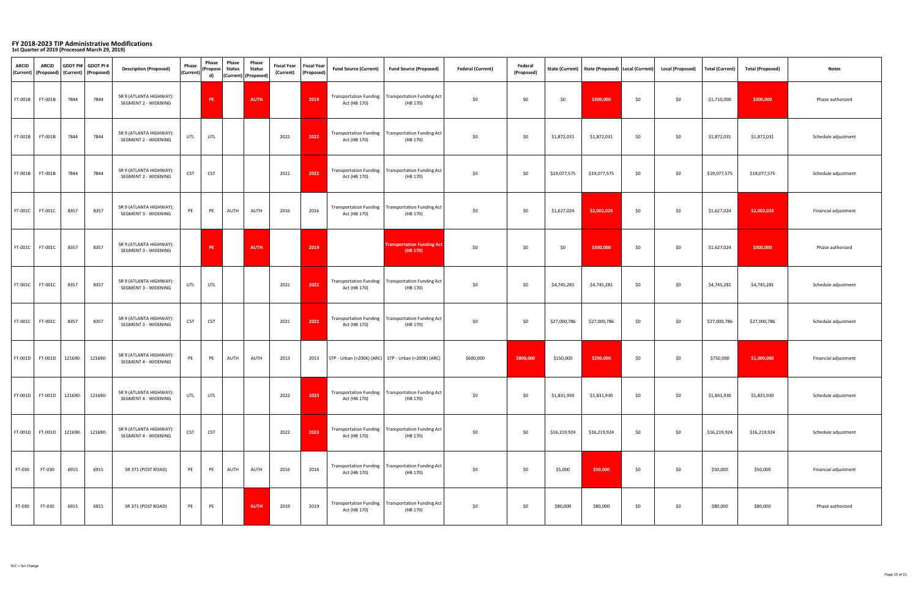| <b>ARCID</b> | <b>ARCID</b><br>  (Current)   (Proposed) ' |         | <b>GDOT PI#</b> GDOT PI#<br>  (Current)   (Proposed) | <b>Description (Proposed)</b>                          | <b>Phase</b><br>(Current) | <b>Phase</b><br>$ $ (Propose $ $<br>d) | <b>Phase</b><br><b>Status</b> | <b>Phase</b><br><b>Status</b><br>(Current)   (Proposed) | Fiscal Year   Fiscal Year  <br>(Current) | (Proposed) | <b>Fund Source (Current)</b> | <b>Fund Source (Proposed)</b>                                       | <b>Federal (Current)</b> | Federal<br>(Proposed) |              |              |       | State (Current)   State (Proposed)   Local (Current)   Local (Proposed) | <b>Total (Current)</b> | <b>Total (Proposed)</b> | <b>Notes</b>         |
|--------------|--------------------------------------------|---------|------------------------------------------------------|--------------------------------------------------------|---------------------------|----------------------------------------|-------------------------------|---------------------------------------------------------|------------------------------------------|------------|------------------------------|---------------------------------------------------------------------|--------------------------|-----------------------|--------------|--------------|-------|-------------------------------------------------------------------------|------------------------|-------------------------|----------------------|
| $FT-001B$    | <b>FT-001B</b>                             | 7844    | 7844                                                 | SR 9 (ATLANTA HIGHWAY):<br>SEGMENT 2 - WIDENING        |                           | <b>PE</b>                              |                               | <b>AUTH</b>                                             |                                          | 2019       | Act (HB 170)                 | Transportation Funding   Transportation Funding Act<br>(HB 170)     | \$0                      | \$0\$                 | \$0          | \$300,000    | \$0   | \$0\$                                                                   | \$1,710,000            | \$300,000               | Phase authorized     |
| FT-001B      | FT-001B                                    | 7844    | 7844                                                 | SR 9 (ATLANTA HIGHWAY):<br><b>SEGMENT 2 - WIDENING</b> | UTL                       | UTL                                    |                               |                                                         | 2021                                     | 2022       | Act (HB 170)                 | Transportation Funding   Transportation Funding Act<br>(HB 170)     | \$0                      | \$0                   | \$1,872,031  | \$1,872,031  | \$0\$ | \$0\$                                                                   | \$1,872,031            | \$1,872,031             | Schedule adjustment  |
| $FT-001B$    | FT-001B                                    | 7844    | 7844                                                 | SR 9 (ATLANTA HIGHWAY):<br>SEGMENT 2 - WIDENING        | <b>CST</b>                | <b>CST</b>                             |                               |                                                         | 2021                                     | 2022       | Act (HB 170)                 | Transportation Funding   Transportation Funding Act<br>(HB 170)     | \$0                      | \$0                   | \$19,077,575 | \$19,077,575 | \$0\$ | \$0\$                                                                   | \$19,077,575           | \$19,077,575            | Schedule adjustment  |
| $FT-001C$    | FT-001C                                    | 8357    | 8357                                                 | SR 9 (ATLANTA HIGHWAY):<br><b>SEGMENT 3 - WIDENING</b> | PE                        | PE                                     | AUTH                          | AUTH                                                    | 2016                                     | 2016       | Act (HB 170)                 | Transportation Funding   Transportation Funding Act<br>(HB 170)     | \$0                      | \$0                   | \$1,627,024  | \$2,002,024  | \$0   | \$0\$                                                                   | \$1,627,024            | \$2,002,024             | Financial adjustment |
| FT-001C      | FT-001C                                    | 8357    | 8357                                                 | SR 9 (ATLANTA HIGHWAY):<br>SEGMENT 3 - WIDENING        |                           | PE                                     |                               | <b>AUTH</b>                                             |                                          | 2019       |                              | <b>Transportation Funding Act</b><br>(HB 170)                       | \$0                      | \$0                   | \$0          | \$300,000    | \$0   | \$0\$                                                                   | \$1,627,024            | \$300,000               | Phase authorized     |
| $FT-001C$    | FT-001C                                    | 8357    | 8357                                                 | SR 9 (ATLANTA HIGHWAY):<br>SEGMENT 3 - WIDENING        | <b>UTL</b>                | <b>UTL</b>                             |                               |                                                         | 2021                                     | 2022       | Act (HB 170)                 | Transportation Funding   Transportation Funding Act  <br>(HB 170)   | \$0                      | \$0                   | \$4,745,281  | \$4,745,281  | \$0\$ | \$0\$                                                                   | \$4,745,281            | \$4,745,281             | Schedule adjustment  |
|              | FT-001C   FT-001C                          | 8357    | 8357                                                 | SR 9 (ATLANTA HIGHWAY):<br>SEGMENT 3 - WIDENING        | <b>CST</b>                | <b>CST</b>                             |                               |                                                         | 2021                                     | 2022       | Act (HB 170)                 | Transportation Funding   Transportation Funding Act<br>(HB 170)     | \$0                      | \$0                   | \$27,000,786 | \$27,000,786 | \$0\$ | \$0                                                                     | \$27,000,786           | \$27,000,786            | Schedule adjustment  |
|              | $FT-001D$ $FT-001D$                        | 121690- | 121690-                                              | SR 9 (ATLANTA HIGHWAY):<br>SEGMENT 4 - WIDENING        | PE                        | PE                                     | <b>AUTH</b>                   | AUTH                                                    | 2013                                     | 2013       |                              | $\vert$ STP - Urban (>200K) (ARC) $\vert$ STP - Urban (>200K) (ARC) | \$600,000                | \$800,000             | \$150,000    | \$200,000    | \$0   | \$0\$                                                                   | \$750,000              | \$1,000,000             | Financial adjustment |
|              | FT-001D   FT-001D                          | 121690- | 121690-                                              | SR 9 (ATLANTA HIGHWAY):<br><b>SEGMENT 4 - WIDENING</b> | UTL                       | UTL                                    |                               |                                                         | 2022                                     | 2023       | Act (HB 170)                 | Transportation Funding   Transportation Funding Act<br>(HB 170)     | \$0                      | \$0                   | \$1,831,930  | \$1,831,930  | \$0   | \$0\$                                                                   | \$1,831,930            | \$1,831,930             | Schedule adjustment  |
|              | FT-001D   FT-001D                          | 121690- | 121690-                                              | SR 9 (ATLANTA HIGHWAY):<br><b>SEGMENT 4 - WIDENING</b> | <b>CST</b>                | <b>CST</b>                             |                               |                                                         | 2022                                     | 2023       | Act (HB 170)                 | Transportation Funding   Transportation Funding Act<br>(HB 170)     | \$0                      | \$0                   | \$16,219,924 | \$16,219,924 | \$0   | \$0\$                                                                   | \$16,219,924           | \$16,219,924            | Schedule adjustment  |
| FT-030       | FT-030                                     | 6915    | 6915                                                 | SR 371 (POST ROAD)                                     | PE                        | PE                                     | AUTH                          | <b>AUTH</b>                                             | 2016                                     | 2016       | Act (HB 170)                 | Transportation Funding   Transportation Funding Act<br>(HB 170)     | \$0                      | \$0                   | \$5,000      | \$50,000     | \$0   | \$0\$                                                                   | \$50,000               | \$50,000                | Financial adjustment |
| FT-030       | FT-030                                     | 6915    | 6915                                                 | SR 371 (POST ROAD)                                     | PE                        | PE                                     |                               | <b>AUTH</b>                                             | 2019                                     | 2019       | Act (HB 170)                 | Transportation Funding   Transportation Funding Act<br>(HB 170)     | \$0                      | \$0                   | \$80,000     | \$80,000     | \$0   | \$0\$                                                                   | \$80,000               | \$80,000                | Phase authorized     |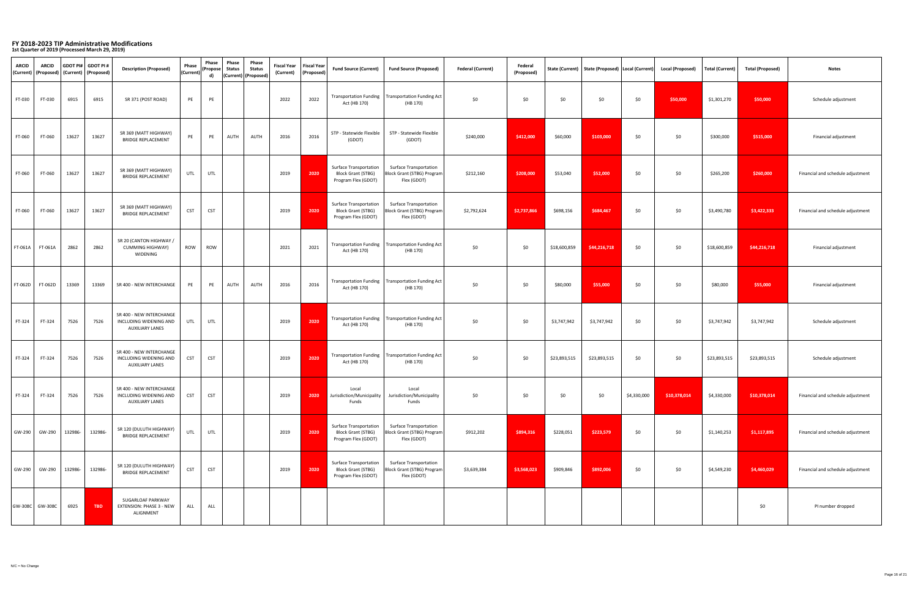| <b>ARCID</b> | <b>ARCID</b><br>  (Current)   (Proposed) |         | GDOT PI# $\vert$ GDOT PI #<br>  (Current)   (Proposed) | <b>Description (Proposed)</b>                                                | <b>Phase</b><br>(Current) | <b>Phase</b><br>(Propose<br>d) | <b>Phase</b><br><b>Status</b> | <b>Phase</b><br><b>Status</b><br>(Current)   (Proposed) | Fiscal Year   Fiscal Year  <br>(Current) | (Proposed) | <b>Fund Source (Current)</b>                                                      | <b>Fund Source (Proposed)</b>                                                     | <b>Federal (Current)</b> | Federal<br>(Proposed) |              | State (Current)   State (Proposed)   Local (Current) |             | <b>Local (Proposed)</b> | Total (Current) | <b>Total (Proposed)</b> | <b>Notes</b>                      |
|--------------|------------------------------------------|---------|--------------------------------------------------------|------------------------------------------------------------------------------|---------------------------|--------------------------------|-------------------------------|---------------------------------------------------------|------------------------------------------|------------|-----------------------------------------------------------------------------------|-----------------------------------------------------------------------------------|--------------------------|-----------------------|--------------|------------------------------------------------------|-------------|-------------------------|-----------------|-------------------------|-----------------------------------|
| FT-030       | FT-030                                   | 6915    | 6915                                                   | SR 371 (POST ROAD)                                                           | PE                        | PE                             |                               |                                                         | 2022                                     | 2022       | Act (HB 170)                                                                      | Transportation Funding   Transportation Funding Act<br>(HB 170)                   | \$0                      | \$0                   | \$0\$        | \$0                                                  | \$0         | \$50,000                | \$1,301,270     | \$50,000                | Schedule adjustment               |
| FT-060       | FT-060                                   | 13627   | 13627                                                  | SR 369 (MATT HIGHWAY)<br><b>BRIDGE REPLACEMENT</b>                           | PE                        | PE                             | <b>AUTH</b>                   | <b>AUTH</b>                                             | 2016                                     | 2016       | STP - Statewide Flexible<br>(GDOT)                                                | STP - Statewide Flexible<br>(GDOT)                                                | \$240,000                | \$412,000             | \$60,000     | \$103,000                                            | \$0\$       | \$0                     | \$300,000       | \$515,000               | Financial adjustment              |
| FT-060       | FT-060                                   | 13627   | 13627                                                  | SR 369 (MATT HIGHWAY)<br><b>BRIDGE REPLACEMENT</b>                           | <b>UTL</b>                | UTL                            |                               |                                                         | 2019                                     | 2020       | <b>Surface Transportation</b><br><b>Block Grant (STBG)</b><br>Program Flex (GDOT) | <b>Surface Transportation</b><br><b>Block Grant (STBG) Program</b><br>Flex (GDOT) | \$212,160                | \$208,000             | \$53,040     | \$52,000                                             | \$0         | \$0\$                   | \$265,200       | \$260,000               | Financial and schedule adjustment |
| FT-060       | FT-060                                   | 13627   | 13627                                                  | SR 369 (MATT HIGHWAY)<br><b>BRIDGE REPLACEMENT</b>                           | <b>CST</b>                | <b>CST</b>                     |                               |                                                         | 2019                                     | 2020       | <b>Surface Transportation</b><br><b>Block Grant (STBG)</b><br>Program Flex (GDOT) | <b>Surface Transportation</b><br><b>Block Grant (STBG) Program</b><br>Flex (GDOT) | \$2,792,624              | \$2,737,866           | \$698,156    | \$684,467                                            | \$0         | \$0                     | \$3,490,780     | \$3,422,333             | Financial and schedule adjustment |
| $FT-061A$    | FT-061A                                  | 2862    | 2862                                                   | SR 20 (CANTON HIGHWAY /<br><b>CUMMING HIGHWAY)</b><br>WIDENING               | <b>ROW</b>                | <b>ROW</b>                     |                               |                                                         | 2021                                     | 2021       | Act (HB 170)                                                                      | Transportation Funding   Transportation Funding Act<br>(HB 170)                   | \$0                      | \$0                   | \$18,600,859 | \$44,216,718                                         | \$0\$       | \$0                     | \$18,600,859    | \$44,216,718            | Financial adjustment              |
| $FT-062D$    | FT-062D                                  | 13369   | 13369                                                  | SR 400 - NEW INTERCHANGE                                                     | PE                        | PE                             | <b>AUTH</b>                   | <b>AUTH</b>                                             | 2016                                     | 2016       | Act (HB 170)                                                                      | Transportation Funding   Transportation Funding Act<br>(HB 170)                   | \$0                      | \$0                   | \$80,000     | \$55,000                                             | \$0         | \$0                     | \$80,000        | \$55,000                | Financial adjustment              |
| $FT-324$     | FT-324                                   | 7526    | 7526                                                   | SR 400 - NEW INTERCHANGE<br>INCLUDING WIDENING AND<br><b>AUXILIARY LANES</b> | <b>UTL</b>                | <b>UTL</b>                     |                               |                                                         | 2019                                     | 2020       | Act (HB 170)                                                                      | Transportation Funding   Transportation Funding Act<br>(HB 170)                   | \$0                      | \$0                   | \$3,747,942  | \$3,747,942                                          | \$0         | \$0                     | \$3,747,942     | \$3,747,942             | Schedule adjustment               |
| $FT-324$     | FT-324                                   | 7526    | 7526                                                   | SR 400 - NEW INTERCHANGE<br>INCLUDING WIDENING AND<br><b>AUXILIARY LANES</b> | <b>CST</b>                | <b>CST</b>                     |                               |                                                         | 2019                                     | 2020       | Act (HB 170)                                                                      | Transportation Funding   Transportation Funding Act<br>(HB 170)                   | \$0                      | \$0                   | \$23,893,515 | \$23,893,515                                         | \$0         | \$0                     | \$23,893,515    | \$23,893,515            | Schedule adjustment               |
| $FT-324$     | FT-324                                   | 7526    | 7526                                                   | SR 400 - NEW INTERCHANGE<br>INCLUDING WIDENING AND<br><b>AUXILIARY LANES</b> | <b>CST</b>                | <b>CST</b>                     |                               |                                                         | 2019                                     | 2020       | Local<br>Jurisdiction/Municipality<br>Funds                                       | Local<br>Jurisdiction/Municipality<br>Funds                                       | \$0                      | \$0                   | \$0\$        | \$0                                                  | \$4,330,000 | \$10,378,014            | \$4,330,000     | \$10,378,014            | Financial and schedule adjustment |
|              | GW-290   GW-290                          | 132986- | 132986-                                                | SR 120 (DULUTH HIGHWAY)<br><b>BRIDGE REPLACEMENT</b>                         | <b>UTL</b>                | UTL                            |                               |                                                         | 2019                                     | 2020       | <b>Surface Transportation</b><br><b>Block Grant (STBG)</b><br>Program Flex (GDOT) | <b>Surface Transportation</b><br>Block Grant (STBG) Program<br>Flex (GDOT)        | \$912,202                | \$894,316             | \$228,051    | \$223,579                                            | \$0         | \$0                     | \$1,140,253     | \$1,117,895             | Financial and schedule adjustment |
|              | GW-290   GW-290                          | 132986- | 132986-                                                | SR 120 (DULUTH HIGHWAY)<br><b>BRIDGE REPLACEMENT</b>                         | <b>CST</b>                | <b>CST</b>                     |                               |                                                         | 2019                                     | 2020       | <b>Surface Transportation</b><br><b>Block Grant (STBG)</b><br>Program Flex (GDOT) | <b>Surface Transportation</b><br>Block Grant (STBG) Program<br>Flex (GDOT)        | \$3,639,384              | \$3,568,023           | \$909,846    | \$892,006                                            | \$0         | \$0                     | \$4,549,230     | \$4,460,029             | Financial and schedule adjustment |
|              | GW-308C   GW-308C                        | 6925    | <b>TBD</b>                                             | SUGARLOAF PARKWAY<br>EXTENSION: PHASE 3 - NEW<br>ALIGNMENT                   | ALL                       | ALL                            |                               |                                                         |                                          |            |                                                                                   |                                                                                   |                          |                       |              |                                                      |             |                         |                 | \$0                     | PI number dropped                 |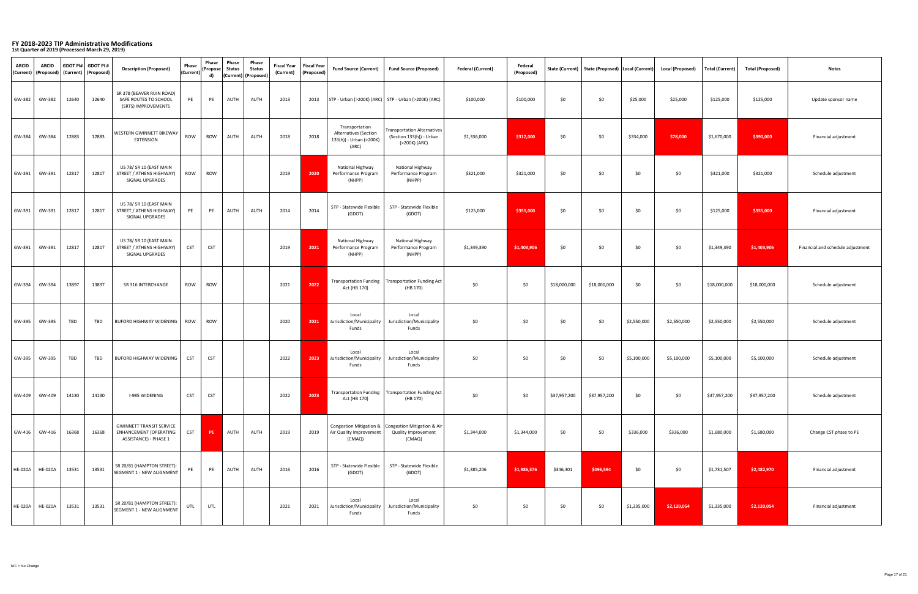| <b>ARCID</b>                  | <b>ARCID</b><br>  (Current)   (Proposed) | (Current)  | $ $ GDOT PI# $ $ GDOT PI #<br>(Proposed) | <b>Description (Proposed)</b>                                                      | Phase<br>(Current) | <b>Phase</b><br>$ $ (Propose $ $<br>d) | <b>Phase</b><br><b>Status</b> | <b>Phase</b><br><b>Status</b><br>(Current)   (Proposed) | Fiscal Year   Fiscal Year  <br>(Current) | (Proposed) | <b>Fund Source (Current)</b>                                                       | <b>Fund Source (Proposed)</b>                                                                   | <b>Federal (Current)</b> | Federal<br>(Proposed) |              | State (Current)   State (Proposed)   Local (Current) |             | <b>Local (Proposed)</b> | <b>Total (Current)</b> | <b>Total (Proposed)</b> | <b>Notes</b>                      |
|-------------------------------|------------------------------------------|------------|------------------------------------------|------------------------------------------------------------------------------------|--------------------|----------------------------------------|-------------------------------|---------------------------------------------------------|------------------------------------------|------------|------------------------------------------------------------------------------------|-------------------------------------------------------------------------------------------------|--------------------------|-----------------------|--------------|------------------------------------------------------|-------------|-------------------------|------------------------|-------------------------|-----------------------------------|
| GW-382                        | GW-382                                   | 12640      | 12640                                    | SR 378 (BEAVER RUIN ROAD)<br>SAFE ROUTES TO SCHOOL<br>(SRTS) IMPROVEMENTS          | PE                 | PE                                     | <b>AUTH</b>                   | AUTH                                                    | 2013                                     | 2013       |                                                                                    | STP - Urban (>200K) (ARC)   STP - Urban (>200K) (ARC)                                           | \$100,000                | \$100,000             | \$0          | \$0                                                  | \$25,000    | \$25,000                | \$125,000              | \$125,000               | Update sponsor name               |
| GW-384                        | GW-384                                   | 12883      | 12883                                    | WESTERN GWINNETT BIKEWAY<br><b>EXTENSION</b>                                       | <b>ROW</b>         | <b>ROW</b>                             | AUTH                          | AUTH                                                    | 2018                                     | 2018       | Transportation<br><b>Alternatives (Section</b><br>133(h)) - Urban (>200K)<br>(ARC) | <b>Transportation Alternatives</b><br>(Section 133(h)) - Urban<br>(>200K) (ARC)                 | \$1,336,000              | \$312,000             | \$0          | \$0                                                  | \$334,000   | \$78,000                | \$1,670,000            | \$390,000               | Financial adjustment              |
| $GW-391$                      | GW-391                                   | 12817      | 12817                                    | US 78/ SR 10 (EAST MAIN<br>STREET / ATHENS HIGHWAY)<br><b>SIGNAL UPGRADES</b>      | <b>ROW</b>         | <b>ROW</b>                             |                               |                                                         | 2019                                     | 2020       | National Highway<br>Performance Program<br>(NHPP)                                  | National Highway<br>Performance Program<br>(NHPP)                                               | \$321,000                | \$321,000             | \$0          | \$0                                                  | \$0         | \$0\$                   | \$321,000              | \$321,000               | Schedule adjustment               |
| $\vert$ GW-391 $\vert$ GW-391 |                                          | 12817      | 12817                                    | US 78/ SR 10 (EAST MAIN<br>STREET / ATHENS HIGHWAY)<br>SIGNAL UPGRADES             | PE                 | PE                                     | <b>AUTH</b>                   | AUTH                                                    | 2014                                     | 2014       | STP - Statewide Flexible<br>(GDOT)                                                 | STP - Statewide Flexible<br>(GDOT)                                                              | \$125,000                | \$355,000             | \$0          | \$0                                                  | \$0         | \$0                     | \$125,000              | \$355,000               | Financial adjustment              |
| $GW-391$                      | GW-391                                   | 12817      | 12817                                    | US 78/ SR 10 (EAST MAIN<br>STREET / ATHENS HIGHWAY)<br><b>SIGNAL UPGRADES</b>      | <b>CST</b>         | <b>CST</b>                             |                               |                                                         | 2019                                     | 2021       | National Highway<br>Performance Program<br>(NHPP)                                  | National Highway<br>Performance Program<br>(NHPP)                                               | \$1,349,390              | \$1,403,906           | \$0          | \$0                                                  | \$0         | \$0\$                   | \$1,349,390            | \$1,403,906             | Financial and schedule adjustment |
| GW-394                        | GW-394                                   | 13897      | 13897                                    | SR 316 INTERCHANGE                                                                 | <b>ROW</b>         | <b>ROW</b>                             |                               |                                                         | 2021                                     | 2022       | Act (HB 170)                                                                       | Transportation Funding   Transportation Funding Act<br>(HB 170)                                 | \$0                      | \$0                   | \$18,000,000 | \$18,000,000                                         | \$0\$       | \$0\$                   | \$18,000,000           | \$18,000,000            | Schedule adjustment               |
| $GW-395$                      | GW-395                                   | <b>TBD</b> | <b>TBD</b>                               | BUFORD HIGHWAY WIDENING                                                            | <b>ROW</b>         | <b>ROW</b>                             |                               |                                                         | 2020                                     | 2021       | Local<br>Jurisdiction/Municipality<br>Funds                                        | Local<br>Jurisdiction/Municipality<br>Funds                                                     | \$0                      | \$0                   | \$0          | \$0                                                  | \$2,550,000 | \$2,550,000             | \$2,550,000            | \$2,550,000             | Schedule adjustment               |
| GW-395                        | GW-395                                   | <b>TBD</b> | <b>TBD</b>                               | <b>BUFORD HIGHWAY WIDENING</b>                                                     | <b>CST</b>         | <b>CST</b>                             |                               |                                                         | 2022                                     | 2023       | Local<br>Jurisdiction/Municipality<br>Funds                                        | Local<br>Jurisdiction/Municipality<br>Funds                                                     | \$0                      | \$0\$                 | \$0          | \$0                                                  | \$5,100,000 | \$5,100,000             | \$5,100,000            | \$5,100,000             | Schedule adjustment               |
| $GW-409$                      | GW-409                                   | 14130      | 14130                                    | <b>I-985 WIDENING</b>                                                              | <b>CST</b>         | <b>CST</b>                             |                               |                                                         | 2022                                     | 2023       | Act (HB 170)                                                                       | Transportation Funding   Transportation Funding Act  <br>(HB 170)                               | \$0                      | \$0                   | \$37,957,200 | \$37,957,200                                         | \$0         | \$0\$                   | \$37,957,200           | \$37,957,200            | Schedule adjustment               |
| $GW-416$                      | GW-416                                   | 16368      | 16368                                    | <b>GWINNETT TRANSIT SERVICE</b><br>ENHANCEMENT (OPERATING<br>ASSISTANCE) - PHASE 1 | <b>CST</b>         | PE                                     | <b>AUTH</b>                   | AUTH                                                    | 2019                                     | 2019       | Air Quality Improvement<br>(CMAQ)                                                  | Congestion Mitigation &   Congestion Mitigation & Air  <br><b>Quality Improvement</b><br>(CMAQ) | \$1,344,000              | \$1,344,000           | \$0          | \$0                                                  | \$336,000   | \$336,000               | \$1,680,000            | \$1,680,000             | Change CST phase to PE            |
| HE-020A                       | <b>HE-020A</b>                           | 13531      | 13531                                    | SR 20/81 (HAMPTON STREET):<br><b>SEGMENT 1 - NEW ALIGNMENT</b>                     | PE                 | PE                                     | <b>AUTH</b>                   | AUTH                                                    | 2016                                     | 2016       | STP - Statewide Flexible<br>(GDOT)                                                 | STP - Statewide Flexible<br>(GDOT)                                                              | \$1,385,206              | \$1,986,376           | \$346,301    | \$496,594                                            | \$0         | \$0\$                   | \$1,731,507            | \$2,482,970             | Financial adjustment              |
| HE-020A                       | <b>HE-020A</b>                           | 13531      | 13531                                    | SR 20/81 (HAMPTON STREET):<br><b>SEGMENT 1 - NEW ALIGNMENT</b>                     | <b>UTL</b>         | <b>UTL</b>                             |                               |                                                         | 2021                                     | 2021       | Local<br>Jurisdiction/Municipality<br>Funds                                        | Local<br>Jurisdiction/Municipality<br>Funds                                                     | \$0                      | \$0                   | \$0          | \$0                                                  | \$1,335,000 | \$2,120,054             | \$1,335,000            | \$2,120,054             | Financial adjustment              |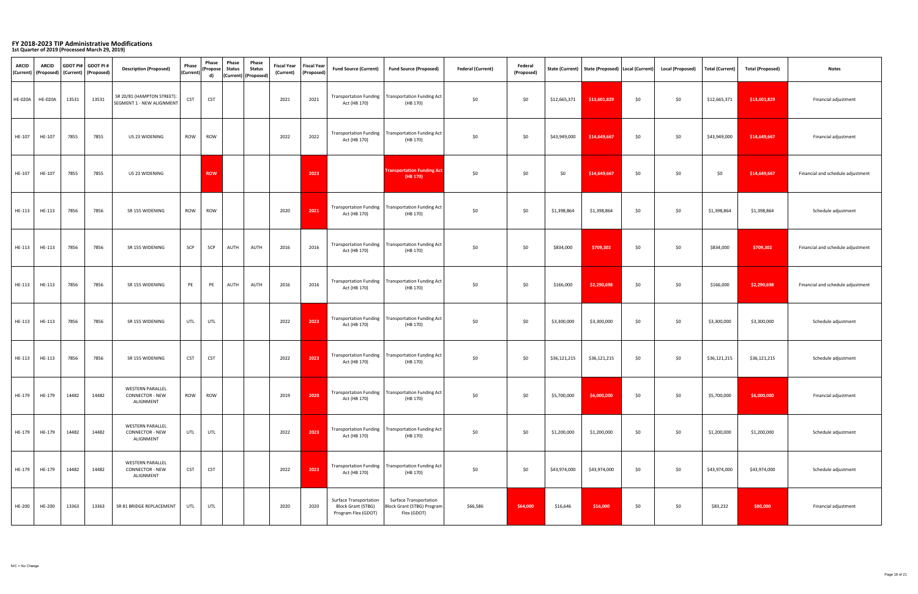| <b>ARCID</b>  | <b>ARCID</b><br>  (Current)   (Proposed) |       | $ $ GDOT PI# $ $ GDOT PI #<br>  (Current)   (Proposed) | <b>Description (Proposed)</b>                                         | <b>Phase</b><br>(Current) | Phase<br>$ $ (Propose $ $<br>d) | <b>Phase</b><br><b>Status</b> | <b>Phase</b><br><b>Status</b><br>(Current)   (Proposed) | (Current) | Fiscal Year   Fiscal Year  <br>(Proposed) | <b>Fund Source (Current)</b>                                                      | <b>Fund Source (Proposed)</b>                                                  | <b>Federal (Current)</b> | Federal<br>(Proposed) |              | State (Current)   State (Proposed)   Local (Current) |       | <b>Local (Proposed)</b> | <b>Total (Current)</b> | <b>Total (Proposed)</b> | <b>Notes</b>                      |
|---------------|------------------------------------------|-------|--------------------------------------------------------|-----------------------------------------------------------------------|---------------------------|---------------------------------|-------------------------------|---------------------------------------------------------|-----------|-------------------------------------------|-----------------------------------------------------------------------------------|--------------------------------------------------------------------------------|--------------------------|-----------------------|--------------|------------------------------------------------------|-------|-------------------------|------------------------|-------------------------|-----------------------------------|
| HE-020A       | <b>HE-020A</b>                           | 13531 | 13531                                                  | $S$ R 20/81 (HAMPTON STREET):<br>SEGMENT 1 - NEW ALIGNMENT            | <b>CST</b>                | <b>CST</b>                      |                               |                                                         | 2021      | 2021                                      | Act (HB 170)                                                                      | Transportation Funding   Transportation Funding Act  <br>(HB 170)              | \$0                      | \$0                   | \$12,665,371 | \$13,601,829                                         | \$0   | \$0                     | \$12,665,371           | \$13,601,829            | Financial adjustment              |
| HE-107        | HE-107                                   | 7855  | 7855                                                   | US 23 WIDENING                                                        | <b>ROW</b>                | <b>ROW</b>                      |                               |                                                         | 2022      | 2022                                      | Act (HB 170)                                                                      | Transportation Funding   Transportation Funding Act  <br>(HB 170)              | \$0                      | \$0                   | \$43,949,000 | \$14,649,667                                         | \$0   | \$0\$                   | \$43,949,000           | \$14,649,667            | Financial adjustment              |
| HE-107        | HE-107                                   | 7855  | 7855                                                   | US 23 WIDENING                                                        |                           | <b>ROW</b>                      |                               |                                                         |           | 2023                                      |                                                                                   | <b>Transportation Funding Act</b><br>(HB 170)                                  | \$0                      | \$0                   | \$0          | \$14,649,667                                         | \$0   | \$0\$                   | \$0                    | \$14,649,667            | Financial and schedule adjustment |
| $HE-113$      | HE-113                                   | 7856  | 7856                                                   | SR 155 WIDENING                                                       | <b>ROW</b>                | <b>ROW</b>                      |                               |                                                         | 2020      | 2021                                      | Act (HB 170)                                                                      | Transportation Funding   Transportation Funding Act  <br>(HB 170)              | \$0                      | \$0                   | \$1,398,864  | \$1,398,864                                          | \$0   | \$0                     | \$1,398,864            | \$1,398,864             | Schedule adjustment               |
| $HE-113$      | <b>HE-113</b>                            | 7856  | 7856                                                   | SR 155 WIDENING                                                       | SCP                       | SCP                             | AUTH                          | AUTH                                                    | 2016      | 2016                                      | Act (HB 170)                                                                      | Transportation Funding   Transportation Funding Act  <br>(HB 170)              | \$0                      | \$0                   | \$834,000    | \$709,302                                            | \$0   | \$0\$                   | \$834,000              | \$709,302               | Financial and schedule adjustment |
| $HE-113$      | HE-113                                   | 7856  | 7856                                                   | SR 155 WIDENING                                                       | PE                        | PE                              | AUTH                          | AUTH                                                    | 2016      | 2016                                      | Act (HB 170)                                                                      | Transportation Funding   Transportation Funding Act  <br>(HB 170)              | \$0                      | \$0                   | \$166,000    | \$2,290,698                                          | \$0   | \$0                     | \$166,000              | \$2,290,698             | Financial and schedule adjustment |
| $HE-113$      | HE-113                                   | 7856  | 7856                                                   | SR 155 WIDENING                                                       | UTL                       | UTL                             |                               |                                                         | 2022      | 2023                                      | Act (HB 170)                                                                      | Transportation Funding   Transportation Funding Act  <br>(HB 170)              | \$0                      | \$0                   | \$3,300,000  | \$3,300,000                                          | \$0\$ | \$0\$                   | \$3,300,000            | \$3,300,000             | Schedule adjustment               |
| HE-113        | HE-113                                   | 7856  | 7856                                                   | SR 155 WIDENING                                                       | <b>CST</b>                | <b>CST</b>                      |                               |                                                         | 2022      | 2023                                      | Act (HB 170)                                                                      | Transportation Funding   Transportation Funding Act  <br>(HB 170)              | \$0                      | \$0                   | \$36,121,215 | \$36,121,215                                         | \$0\$ | \$0\$                   | \$36,121,215           | \$36,121,215            | Schedule adjustment               |
| HE-179        | HE-179                                   | 14482 | 14482                                                  | <b>WESTERN PARALLEL</b><br><b>CONNECTOR - NEW</b><br><b>ALIGNMENT</b> | <b>ROW</b>                | <b>ROW</b>                      |                               |                                                         | 2019      | 2020                                      | Act (HB 170)                                                                      | Transportation Funding   Transportation Funding Act  <br>(HB 170)              | \$0                      | \$0                   | \$5,700,000  | \$6,000,000                                          | \$0   | \$0\$                   | \$5,700,000            | \$6,000,000             | Financial adjustment              |
| <b>HE-179</b> | <b>HE-179</b>                            | 14482 | 14482                                                  | <b>WESTERN PARALLEL</b><br><b>CONNECTOR - NEW</b><br><b>ALIGNMENT</b> | <b>UTL</b>                | UTL                             |                               |                                                         | 2022      | 2023                                      | Act (HB 170)                                                                      | Transportation Funding   Transportation Funding Act<br>(HB 170)                | \$0                      | \$0                   | \$1,200,000  | \$1,200,000                                          | \$0\$ | \$0\$                   | \$1,200,000            | \$1,200,000             | Schedule adjustment               |
| HE-179        | <b>HE-179</b>                            | 14482 | 14482                                                  | <b>WESTERN PARALLEL</b><br><b>CONNECTOR - NEW</b><br><b>ALIGNMENT</b> | <b>CST</b>                | <b>CST</b>                      |                               |                                                         | 2022      | 2023                                      | Act (HB 170)                                                                      | Transportation Funding   Transportation Funding Act  <br>(HB 170)              | \$0                      | \$0                   | \$43,974,000 | \$43,974,000                                         | \$0   | \$0\$                   | \$43,974,000           | \$43,974,000            | Schedule adjustment               |
| <b>HE-200</b> | <b>HE-200</b>                            | 13363 | 13363                                                  | SR 81 BRIDGE REPLACEMENT                                              | UTL                       | UTL                             |                               |                                                         | 2020      | 2020                                      | <b>Surface Transportation</b><br><b>Block Grant (STBG)</b><br>Program Flex (GDOT) | <b>Surface Transportation</b><br>  Block Grant (STBG) Program  <br>Flex (GDOT) | \$66,586                 | \$64,000              | \$16,646     | \$16,000                                             | \$0   | \$0\$                   | \$83,232               | \$80,000                | Financial adjustment              |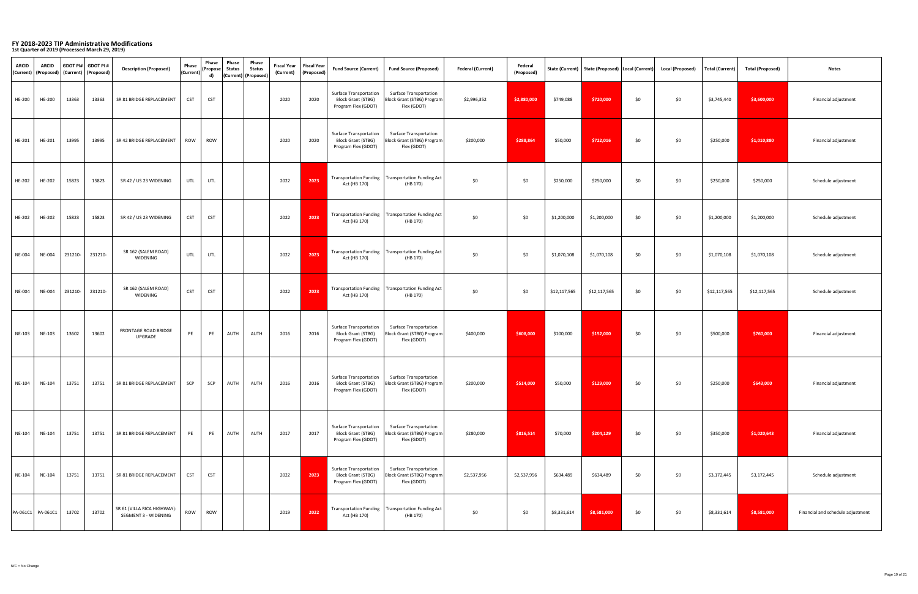| <b>ARCID</b>  | <b>ARCID</b><br>  (Current)   (Proposed) | $ $ GDOT PI# $ $ GDOT PI #<br>  (Current)   (Proposed) |         | <b>Description (Proposed)</b>                              | <b>Phase</b><br>(Current) | <b>Phase</b><br>(Propose<br>d) | <b>Phase</b><br><b>Status</b> | <b>Phase</b><br><b>Status</b><br>$ $ (Current) $ $ (Proposed) | Fiscal Year   Fiscal Year  <br>(Current) | (Proposed) | <b>Fund Source (Current)</b>                                                      | <b>Fund Source (Proposed)</b>                                                                | <b>Federal (Current)</b> | Federal<br>(Proposed) |              | State (Current)   State (Proposed)  Local (Current) |       | <b>Local (Proposed)</b> | <b>Total (Current)</b> | <b>Total (Proposed)</b> | <b>Notes</b>                      |
|---------------|------------------------------------------|--------------------------------------------------------|---------|------------------------------------------------------------|---------------------------|--------------------------------|-------------------------------|---------------------------------------------------------------|------------------------------------------|------------|-----------------------------------------------------------------------------------|----------------------------------------------------------------------------------------------|--------------------------|-----------------------|--------------|-----------------------------------------------------|-------|-------------------------|------------------------|-------------------------|-----------------------------------|
| <b>HE-200</b> | <b>HE-200</b>                            | 13363                                                  | 13363   | SR 81 BRIDGE REPLACEMENT                                   | <b>CST</b>                | <b>CST</b>                     |                               |                                                               | 2020                                     | 2020       | <b>Surface Transportation</b><br><b>Block Grant (STBG)</b><br>Program Flex (GDOT) | <b>Surface Transportation</b><br>Block Grant (STBG) Program<br>Flex (GDOT)                   | \$2,996,352              | \$2,880,000           | \$749,088    | \$720,000                                           | \$0   | \$0\$                   | \$3,745,440            | \$3,600,000             | Financial adjustment              |
| HE-201        | HE-201                                   | 13995                                                  | 13995   | SR 42 BRIDGE REPLACEMENT                                   | <b>ROW</b>                | <b>ROW</b>                     |                               |                                                               | 2020                                     | 2020       | <b>Surface Transportation</b><br><b>Block Grant (STBG)</b><br>Program Flex (GDOT) | <b>Surface Transportation</b><br>Block Grant (STBG) Program<br>Flex (GDOT)                   | \$200,000                | \$288,864             | \$50,000     | \$722,016                                           | \$0   | \$0\$                   | \$250,000              | \$1,010,880             | Financial adjustment              |
| HE-202        | <b>HE-202</b>                            | 15823                                                  | 15823   | SR 42 / US 23 WIDENING                                     | UTL                       | UTL                            |                               |                                                               | 2022                                     | 2023       | Act (HB 170)                                                                      | Transportation Funding   Transportation Funding Act  <br>(HB 170)                            | \$0                      | \$0                   | \$250,000    | \$250,000                                           | \$0\$ | \$0\$                   | \$250,000              | \$250,000               | Schedule adjustment               |
|               |                                          | HE-202   HE-202   15823                                | 15823   | SR 42 / US 23 WIDENING                                     | $\overline{\text{CST}}$   | <b>CST</b>                     |                               |                                                               | 2022                                     |            | Act (HB 170)                                                                      | <b>2023</b> Transportation Funding Transportation Funding Act  <br>(HB 170)                  | \$0                      | \$0                   | \$1,200,000  | \$1,200,000                                         | \$0   | \$0                     | \$1,200,000            | \$1,200,000             | Schedule adjustment               |
| <b>NE-004</b> | <b>NE-004</b>                            | 231210-                                                | 231210- | SR 162 (SALEM ROAD)<br>WIDENING                            | UTL                       | UTL                            |                               |                                                               | 2022                                     | 2023       | Act (HB 170)                                                                      | Transportation Funding   Transportation Funding Act  <br>(HB 170)                            | \$0                      | \$0                   | \$1,070,108  | \$1,070,108                                         | \$0\$ | \$0\$                   | \$1,070,108            | \$1,070,108             | Schedule adjustment               |
| <b>NE-004</b> | <b>NE-004</b>                            | 231210-                                                | 231210- | SR 162 (SALEM ROAD)<br>WIDENING                            | <b>CST</b>                | <b>CST</b>                     |                               |                                                               | 2022                                     | 2023       | Act (HB 170)                                                                      | Transportation Funding   Transportation Funding Act  <br>(HB 170)                            | \$0                      | \$0                   | \$12,117,565 | \$12,117,565                                        | \$0   | \$0\$                   | \$12,117,565           | \$12,117,565            | Schedule adjustment               |
| NE-103        | <b>NE-103</b>                            | 13602                                                  | 13602   | <b>FRONTAGE ROAD BRIDGE</b><br><b>UPGRADE</b>              | PE                        | PE                             | AUTH                          | <b>AUTH</b>                                                   | 2016                                     | 2016       | <b>Surface Transportation</b><br><b>Block Grant (STBG)</b><br>Program Flex (GDOT) | <b>Surface Transportation</b><br>Block Grant (STBG) Program<br>Flex (GDOT)                   | \$400,000                | \$608,000             | \$100,000    | \$152,000                                           | \$0\$ | \$0\$                   | \$500,000              | \$760,000               | Financial adjustment              |
| <b>NE-104</b> | <b>NE-104</b>                            | 13751                                                  | 13751   | SR 81 BRIDGE REPLACEMENT                                   | SCP                       | SCP                            | AUTH                          | AUTH                                                          | 2016                                     | 2016       | <b>Block Grant (STBG)</b><br>Program Flex (GDOT)                                  | Surface Transportation   Surface Transportation<br>Block Grant (STBG) Program<br>Flex (GDOT) | \$200,000                | \$514,000             | \$50,000     | \$129,000                                           | \$0   | \$0\$                   | \$250,000              | \$643,000               | Financial adjustment              |
| <b>NE-104</b> | <b>NE-104</b>                            | 13751                                                  | 13751   | SR 81 BRIDGE REPLACEMENT                                   | PE                        | PE                             | <b>AUTH</b>                   | <b>AUTH</b>                                                   | 2017                                     | 2017       | <b>Surface Transportation</b><br><b>Block Grant (STBG)</b><br>Program Flex (GDOT) | <b>Surface Transportation</b><br>Block Grant (STBG) Program<br>Flex (GDOT)                   | \$280,000                | \$816,514             | \$70,000     | \$204,129                                           | \$0   | \$0\$                   | \$350,000              | \$1,020,643             | Financial adjustment              |
| <b>NE-104</b> | <b>NE-104</b>                            | 13751                                                  | 13751   | SR 81 BRIDGE REPLACEMENT                                   | <b>CST</b>                | <b>CST</b>                     |                               |                                                               | 2022                                     | 2023       | <b>Surface Transportation</b><br><b>Block Grant (STBG)</b><br>Program Flex (GDOT) | <b>Surface Transportation</b><br>Block Grant (STBG) Program  <br>Flex (GDOT)                 | \$2,537,956              | \$2,537,956           | \$634,489    | \$634,489                                           | \$0\$ | \$0\$                   | \$3,172,445            | \$3,172,445             | Schedule adjustment               |
|               | $\vert$ PA-061C1 PA-061C1                | 13702                                                  | 13702   | SR 61 (VILLA RICA HIGHWAY):<br><b>SEGMENT 3 - WIDENING</b> | <b>ROW</b>                | <b>ROW</b>                     |                               |                                                               | 2019                                     | 2022       | Act (HB 170)                                                                      | Transportation Funding   Transportation Funding Act  <br>(HB 170)                            | \$0                      | \$0                   | \$8,331,614  | \$8,581,000                                         | \$0   | \$0\$                   | \$8,331,614            | \$8,581,000             | Financial and schedule adjustment |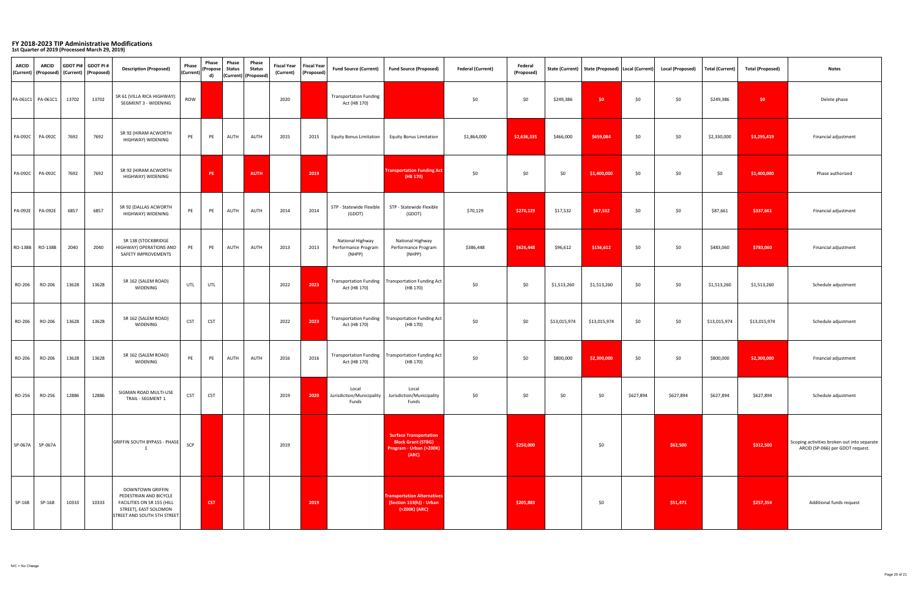| <b>ARCID</b>  | <b>ARCID</b><br>  (Current)   (Proposed) | (Current) | $\vert$ GDOT PI# $\vert$ GDOT PI #<br>(Proposed) | <b>Description (Proposed)</b>                                                                                                                  | <b>Phase</b><br>(Current) | Phase<br>(Propose<br>d) | <b>Phase</b><br><b>Status</b> | <b>Phase</b><br><b>Status</b><br>(Current)   (Proposed) | Fiscal Year   Fiscal Year  <br>(Current) | (Proposed) | <b>Fund Source (Current)</b>                             | <b>Fund Source (Proposed)</b>                                                                            | <b>Federal (Current)</b> | Federal<br>(Proposed) |              | State (Current)   State (Proposed)   Local (Current) |           | <b>Local (Proposed)</b> | <b>Total (Current)</b> | <b>Total (Proposed)</b> | <b>Notes</b>                                                                    |
|---------------|------------------------------------------|-----------|--------------------------------------------------|------------------------------------------------------------------------------------------------------------------------------------------------|---------------------------|-------------------------|-------------------------------|---------------------------------------------------------|------------------------------------------|------------|----------------------------------------------------------|----------------------------------------------------------------------------------------------------------|--------------------------|-----------------------|--------------|------------------------------------------------------|-----------|-------------------------|------------------------|-------------------------|---------------------------------------------------------------------------------|
|               | $\vert$ PA-061C1 PA-061C1                | 13702     | 13702                                            | SR 61 (VILLA RICA HIGHWAY):<br><b>SEGMENT 3 - WIDENING</b>                                                                                     | <b>ROW</b>                |                         |                               |                                                         | 2020                                     |            | <b>Transportation Funding</b><br>Act (HB 170)            |                                                                                                          | \$0                      | \$0                   | \$249,386    | \$0                                                  | \$0       | \$0\$                   | \$249,386              | \$0                     | Delete phase                                                                    |
| PA-092C       | <b>PA-092C</b>                           | 7692      | 7692                                             | SR 92 (HIRAM ACWORTH<br>HIGHWAY) WIDENING                                                                                                      | PE                        | PE                      | <b>AUTH</b>                   | AUTH                                                    | 2015                                     | 2015       | <b>Equity Bonus Limitation</b>                           | <b>Equity Bonus Limitation</b>                                                                           | \$1,864,000              | \$2,636,335           | \$466,000    | \$659,084                                            | \$0       | \$0\$                   | \$2,330,000            | \$3,295,419             | Financial adjustment                                                            |
| PA-092C       | <b>PA-092C</b>                           | 7692      | 7692                                             | SR 92 (HIRAM ACWORTH<br>HIGHWAY) WIDENING                                                                                                      |                           | <b>PE</b>               |                               | <b>AUTH</b>                                             |                                          | 2019       |                                                          | <b>Transportation Funding Act</b><br>(HB 170)                                                            | \$0                      | \$0                   | \$0          | \$1,400,000                                          | \$0       | \$0\$                   | \$0                    | \$1,400,000             | Phase authorized                                                                |
| PA-092E       | <b>PA-092E</b>                           | 6857      | 6857                                             | SR 92 (DALLAS ACWORTH<br>HIGHWAY) WIDENING                                                                                                     | PE                        | PE                      | AUTH                          | AUTH                                                    | 2014                                     | 2014       | STP - Statewide Flexible<br>(GDOT)                       | STP - Statewide Flexible<br>(GDOT)                                                                       | \$70,129                 | \$270,129             | \$17,532     | \$67,532                                             | \$0       | \$0\$                   | \$87,661               | \$337,661               | Financial adjustment                                                            |
|               | $\vert$ RO-138B $\vert$ RO-138B          | 2040      | 2040                                             | SR 138 (STOCKBRIDGE<br>HIGHWAY) OPERATIONS AND<br>SAFETY IMPROVEMENTS                                                                          | PE                        | PE                      | AUTH                          | AUTH                                                    | 2013                                     | 2013       | <b>National Highway</b><br>Performance Program<br>(NHPP) | National Highway<br>Performance Program<br>(NHPP)                                                        | \$386,448                | \$626,448             | \$96,612     | \$156,612                                            | \$0       | \$0\$                   | \$483,060              | \$783,060               | Financial adjustment                                                            |
| RO-206        | RO-206                                   | 13628     | 13628                                            | SR 162 (SALEM ROAD)<br>WIDENING                                                                                                                | UTL                       | UTL                     |                               |                                                         | 2022                                     | 2023       | Act (HB 170)                                             | Transportation Funding   Transportation Funding Act  <br>(HB 170)                                        | \$0                      | \$0                   | \$1,513,260  | \$1,513,260                                          | \$0       | \$0\$                   | \$1,513,260            | \$1,513,260             | Schedule adjustment                                                             |
| <b>RO-206</b> | RO-206                                   | 13628     | 13628                                            | SR 162 (SALEM ROAD)<br>WIDENING                                                                                                                | <b>CST</b>                | <b>CST</b>              |                               |                                                         | 2022                                     | 2023       | Act (HB 170)                                             | Transportation Funding   Transportation Funding Act  <br>(HB 170)                                        | \$0                      | \$0                   | \$13,015,974 | \$13,015,974                                         | \$0\$     | \$0                     | \$13,015,974           | \$13,015,974            | Schedule adjustment                                                             |
| RO-206        | RO-206                                   | 13628     | 13628                                            | SR 162 (SALEM ROAD)<br>WIDENING                                                                                                                | PE                        | PE                      | AUTH                          | <b>AUTH</b>                                             | 2016                                     | 2016       | Act (HB 170)                                             | Transportation Funding   Transportation Funding Act<br>(HB 170)                                          | \$0                      | \$0                   | \$800,000    | \$2,300,000                                          | \$0\$     | \$0\$                   | \$800,000              | \$2,300,000             | Financial adjustment                                                            |
| <b>RO-256</b> | RO-256                                   | 12886     | 12886                                            | SIGMAN ROAD MULTI-USE<br>TRAIL - SEGMENT 1                                                                                                     | <b>CST</b>                | <b>CST</b>              |                               |                                                         | 2019                                     | 2020       | Local<br>Jurisdiction/Municipality<br>Funds              | Local<br>Jurisdiction/Municipality<br>Funds                                                              | \$0                      | \$0                   | \$0          | \$0                                                  | \$627,894 | \$627,894               | \$627,894              | \$627,894               | Schedule adjustment                                                             |
| SP-067A       | SP-067A                                  |           |                                                  | GRIFFIN SOUTH BYPASS - PHASE                                                                                                                   | SCP                       |                         |                               |                                                         | 2019                                     |            |                                                          | <b>Surface Transportation</b><br><b>Block Grant (STBG)</b><br><b>Program - Urban (&gt;200K)</b><br>(ARC) |                          | \$250,000             |              | \$0                                                  |           | \$62,500                |                        | \$312,500               | Scoping activities broken out into separate<br>ARCID (SP-066) per GDOT request. |
| SP-168        | SP-168                                   | 10333     | 10333                                            | <b>DOWNTOWN GRIFFIN</b><br>PEDESTRIAN AND BICYCLE<br><b>FACILITIES ON SR 155 (HILL</b><br>STREET), EAST SOLOMON<br>STREET AND SOUTH 5TH STREET |                           | <b>CST</b>              |                               |                                                         |                                          | 2019       |                                                          | <b>Transportation Alternatives</b><br>$(Section 133(h)) - Urban$<br>(>200K) (ARC)                        |                          | \$205,883             |              | \$0                                                  |           | \$51,471                |                        | \$257,354               | Additional funds request                                                        |